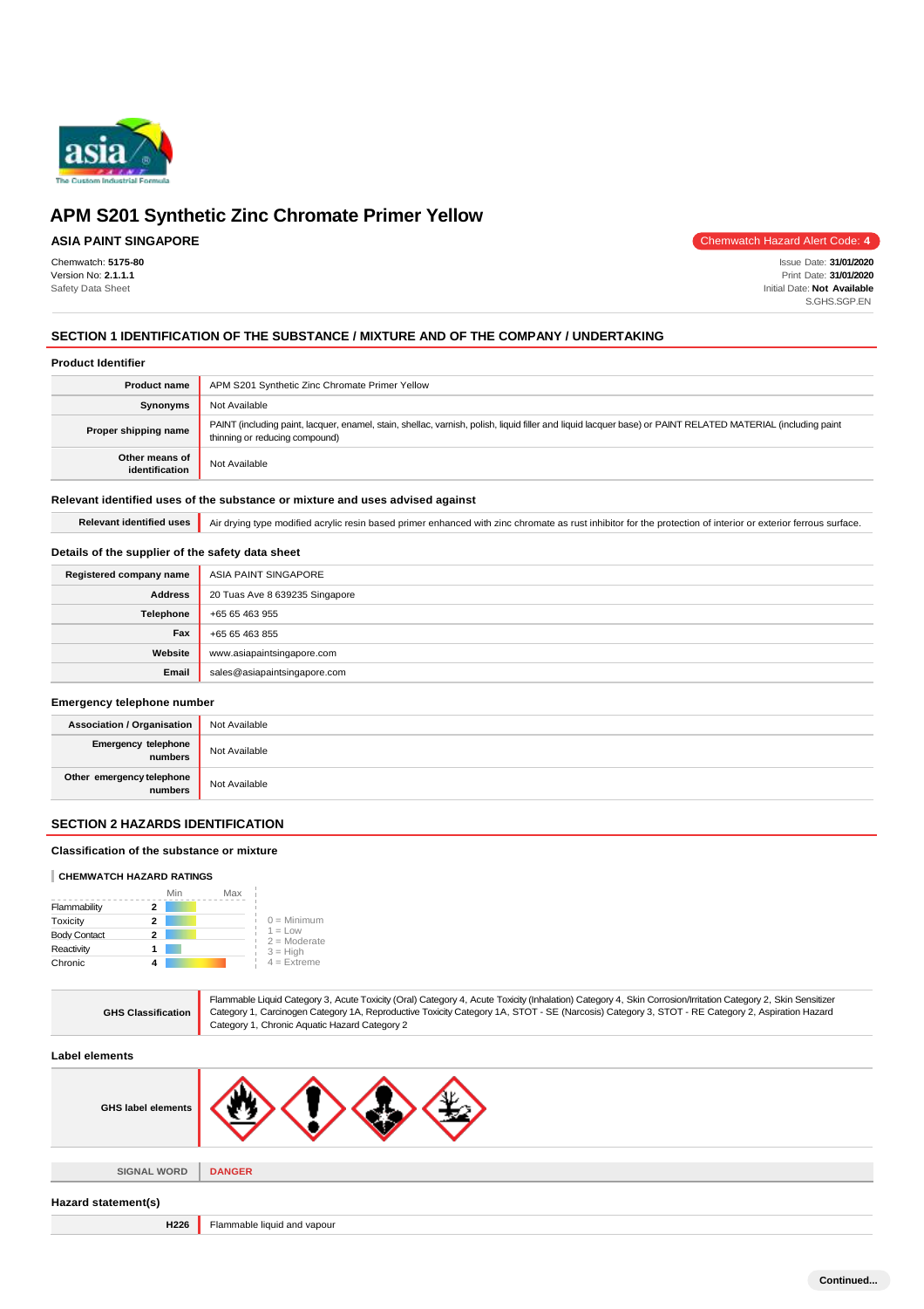

# **ASIA PAINT SINGAPORE**

Chemwatch: **5175-80** Version No: **2.1.1.1** Safety Data Sheet

Chemwatch Hazard Alert Code: **4**

Issue Date: **31/01/2020** Print Date: **31/01/2020** Initial Date: **Not Available** S.GHS.SGP.EN

## **SECTION 1 IDENTIFICATION OF THE SUBSTANCE / MIXTURE AND OF THE COMPANY / UNDERTAKING**

### **Product Identifier**

| <b>Product name</b>              | APM S201 Synthetic Zinc Chromate Primer Yellow                                                                                                                                                |
|----------------------------------|-----------------------------------------------------------------------------------------------------------------------------------------------------------------------------------------------|
| Synonyms                         | Not Available                                                                                                                                                                                 |
| Proper shipping name             | PAINT (including paint, lacquer, enamel, stain, shellac, varnish, polish, liquid filler and liquid lacquer base) or PAINT RELATED MATERIAL (including paint<br>thinning or reducing compound) |
| Other means of<br>identification | Not Available                                                                                                                                                                                 |

### **Relevant identified uses of the substance or mixture and uses advised against**

Relevant identified uses **Air drying type modified acrylic resin based primer enhanced with zinc chromate as rust inhibitor for the protection of interior or exterior ferrous surface.** 

## **Details of the supplier of the safety data sheet**

| Registered company name | ASIA PAINT SINGAPORE           |
|-------------------------|--------------------------------|
| <b>Address</b>          | 20 Tuas Ave 8 639235 Singapore |
| Telephone               | +65 65 463 955                 |
| Fax                     | +65 65 463 855                 |
| Website                 | www.asiapaintsingapore.com     |
| Email                   | sales@asiapaintsingapore.com   |

#### **Emergency telephone number**

| <b>Association / Organisation</b>    | Not Available |
|--------------------------------------|---------------|
| Emergency telephone<br>numbers       | Not Available |
| Other emergency telephone<br>numbers | Not Available |

### **SECTION 2 HAZARDS IDENTIFICATION**

### **Classification of the substance or mixture**

#### **CHEMWATCH HAZARD RATINGS**

|                     | Min | Max |                             |
|---------------------|-----|-----|-----------------------------|
| Flammability        |     |     |                             |
| Toxicity            | 2   |     | $0 =$ Minimum               |
| <b>Body Contact</b> | 2   |     | $1 = Low$<br>$2 =$ Moderate |
| Reactivity          |     |     | $3 = High$                  |
| Chronic             |     |     | $4$ = Extreme               |

| <b>GHS Classification</b> | Flammable Liquid Category 3, Acute Toxicity (Oral) Category 4, Acute Toxicity (Inhalation) Category 4, Skin Corrosion/Irritation Category 2, Skin Sensitizer<br>Category 1, Carcinogen Category 1A, Reproductive Toxicity Category 1A, STOT - SE (Narcosis) Category 3, STOT - RE Category 2, Aspiration Hazard<br>Category 1, Chronic Aquatic Hazard Category 2 |
|---------------------------|------------------------------------------------------------------------------------------------------------------------------------------------------------------------------------------------------------------------------------------------------------------------------------------------------------------------------------------------------------------|
| Label elements            |                                                                                                                                                                                                                                                                                                                                                                  |
| <b>GHS label elements</b> |                                                                                                                                                                                                                                                                                                                                                                  |
| <b>SIGNAL WORD</b>        | <b>DANGER</b>                                                                                                                                                                                                                                                                                                                                                    |
| Hazard statement(s)       |                                                                                                                                                                                                                                                                                                                                                                  |

**H226** Flammable liquid and vapour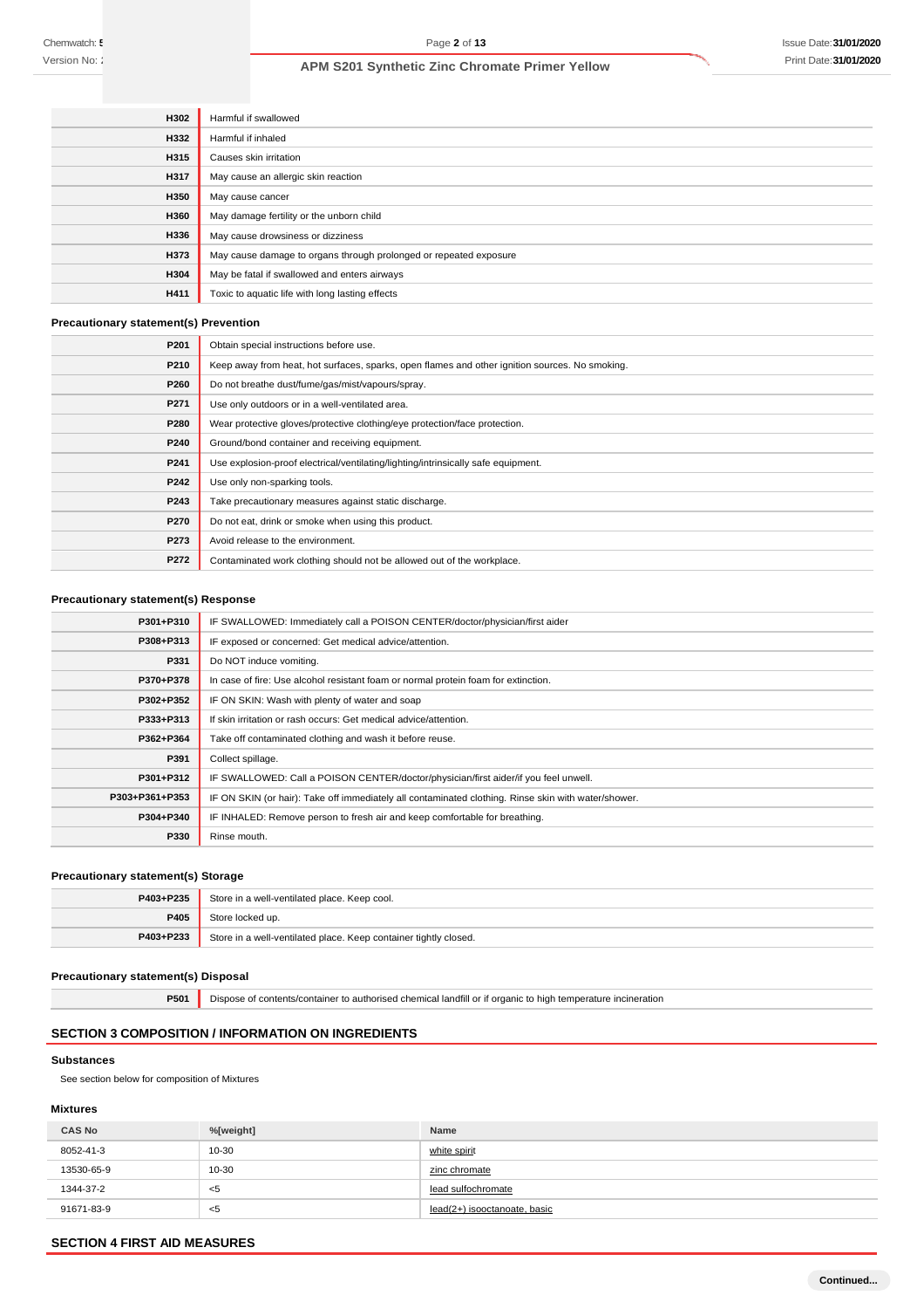| <b>H302</b> | Harmful if swallowed                                              |
|-------------|-------------------------------------------------------------------|
| H332        | Harmful if inhaled                                                |
| <b>H315</b> | Causes skin irritation                                            |
| H317        | May cause an allergic skin reaction                               |
| H350        | May cause cancer                                                  |
| H360        | May damage fertility or the unborn child                          |
| H336        | May cause drowsiness or dizziness                                 |
| H373        | May cause damage to organs through prolonged or repeated exposure |
| H304        | May be fatal if swallowed and enters airways                      |
| <b>H411</b> | Toxic to aquatic life with long lasting effects                   |

## **Precautionary statement(s) Prevention**

| P201 | Obtain special instructions before use.                                                        |
|------|------------------------------------------------------------------------------------------------|
| P210 | Keep away from heat, hot surfaces, sparks, open flames and other ignition sources. No smoking. |
| P260 | Do not breathe dust/fume/gas/mist/vapours/spray.                                               |
| P271 | Use only outdoors or in a well-ventilated area.                                                |
| P280 | Wear protective gloves/protective clothing/eye protection/face protection.                     |
| P240 | Ground/bond container and receiving equipment.                                                 |
| P241 | Use explosion-proof electrical/ventilating/lighting/intrinsically safe equipment.              |
| P242 | Use only non-sparking tools.                                                                   |
| P243 | Take precautionary measures against static discharge.                                          |
| P270 | Do not eat, drink or smoke when using this product.                                            |
| P273 | Avoid release to the environment.                                                              |
| P272 | Contaminated work clothing should not be allowed out of the workplace.                         |

## **Precautionary statement(s) Response**

| P301+P310      | IF SWALLOWED: Immediately call a POISON CENTER/doctor/physician/first aider                         |
|----------------|-----------------------------------------------------------------------------------------------------|
| P308+P313      | IF exposed or concerned: Get medical advice/attention.                                              |
| P331           | Do NOT induce vomiting.                                                                             |
| P370+P378      | In case of fire: Use alcohol resistant foam or normal protein foam for extinction.                  |
| P302+P352      | IF ON SKIN: Wash with plenty of water and soap                                                      |
| P333+P313      | If skin irritation or rash occurs: Get medical advice/attention.                                    |
| P362+P364      | Take off contaminated clothing and wash it before reuse.                                            |
| P391           | Collect spillage.                                                                                   |
| P301+P312      | IF SWALLOWED: Call a POISON CENTER/doctor/physician/first aider/if you feel unwell.                 |
| P303+P361+P353 | IF ON SKIN (or hair): Take off immediately all contaminated clothing. Rinse skin with water/shower. |
| P304+P340      | IF INHALED: Remove person to fresh air and keep comfortable for breathing.                          |
| P330           | Rinse mouth.                                                                                        |

## **Precautionary statement(s) Storage**

| P403+P235 | Store in a well-ventilated place. Keep cool.                     |
|-----------|------------------------------------------------------------------|
| P405      | Store locked up.                                                 |
| P403+P233 | Store in a well-ventilated place. Keep container tightly closed. |

# **Precautionary statement(s) Disposal**

**P501** Dispose of contents/container to authorised chemical landfill or if organic to high temperature incineration

# **SECTION 3 COMPOSITION / INFORMATION ON INGREDIENTS**

#### **Substances**

See section below for composition of Mixtures

### **Mixtures**

| <b>CAS No</b> | %[weight] | <b>Name</b>                  |
|---------------|-----------|------------------------------|
| 8052-41-3     | $10 - 30$ | white spirit                 |
| 13530-65-9    | 10-30     | zinc chromate                |
| 1344-37-2     | ≺5        | lead sulfochromate           |
| 91671-83-9    | ≺5        | lead(2+) isooctanoate, basic |

### **SECTION 4 FIRST AID MEASURES**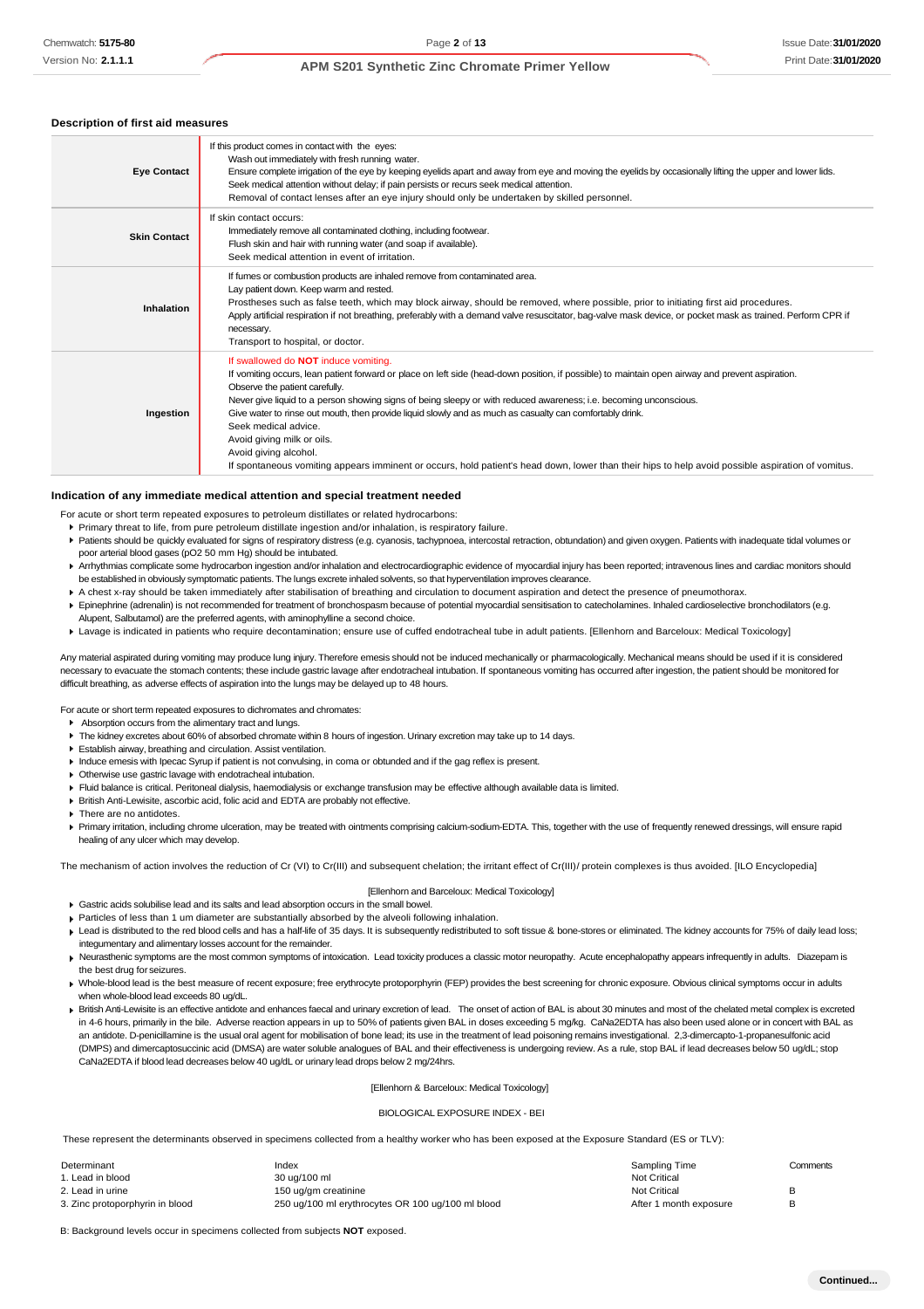#### **Description of first aid measures**

| <b>Eye Contact</b>  | If this product comes in contact with the eyes:<br>Wash out immediately with fresh running water.<br>Ensure complete irrigation of the eye by keeping eyelids apart and away from eye and moving the eyelids by occasionally lifting the upper and lower lids.<br>Seek medical attention without delay; if pain persists or recurs seek medical attention.<br>Removal of contact lenses after an eye injury should only be undertaken by skilled personnel.                                                                                                                                                                                                                                     |
|---------------------|-------------------------------------------------------------------------------------------------------------------------------------------------------------------------------------------------------------------------------------------------------------------------------------------------------------------------------------------------------------------------------------------------------------------------------------------------------------------------------------------------------------------------------------------------------------------------------------------------------------------------------------------------------------------------------------------------|
| <b>Skin Contact</b> | If skin contact occurs:<br>Immediately remove all contaminated clothing, including footwear.<br>Flush skin and hair with running water (and soap if available).<br>Seek medical attention in event of irritation.                                                                                                                                                                                                                                                                                                                                                                                                                                                                               |
| Inhalation          | If fumes or combustion products are inhaled remove from contaminated area.<br>Lay patient down. Keep warm and rested.<br>Prostheses such as false teeth, which may block airway, should be removed, where possible, prior to initiating first aid procedures.<br>Apply artificial respiration if not breathing, preferably with a demand valve resuscitator, bag-valve mask device, or pocket mask as trained. Perform CPR if<br>necessary.<br>Transport to hospital, or doctor.                                                                                                                                                                                                                |
| Ingestion           | If swallowed do NOT induce vomiting.<br>If vomiting occurs, lean patient forward or place on left side (head-down position, if possible) to maintain open airway and prevent aspiration.<br>Observe the patient carefully.<br>Never give liquid to a person showing signs of being sleepy or with reduced awareness; i.e. becoming unconscious.<br>Give water to rinse out mouth, then provide liquid slowly and as much as casualty can comfortably drink.<br>Seek medical advice.<br>Avoid giving milk or oils.<br>Avoid giving alcohol.<br>If spontaneous vomiting appears imminent or occurs, hold patient's head down, lower than their hips to help avoid possible aspiration of vomitus. |

#### **Indication of any immediate medical attention and special treatment needed**

- For acute or short term repeated exposures to petroleum distillates or related hydrocarbons:
- Primary threat to life, from pure petroleum distillate ingestion and/or inhalation, is respiratory failure.
- Patients should be quickly evaluated for signs of respiratory distress (e.g. cyanosis, tachypnoea, intercostal retraction, obtundation) and given oxygen. Patients with inadequate tidal volumes or poor arterial blood gases (pO2 50 mm Hg) should be intubated.
- ▶ Arrhythmias complicate some hydrocarbon ingestion and/or inhalation and electrocardiographic evidence of myocardial injury has been reported; intravenous lines and cardiac monitors should be established in obviously symptomatic patients. The lungs excrete inhaled solvents, so that hyperventilation improves clearance.
- A chest x-ray should be taken immediately after stabilisation of breathing and circulation to document aspiration and detect the presence of pneumothorax.
- Epinephrine (adrenalin) is not recommended for treatment of bronchospasm because of potential myocardial sensitisation to catecholamines. Inhaled cardioselective bronchodilators (e.g. Alupent, Salbutamol) are the preferred agents, with aminophylline a second choice.
- Lavage is indicated in patients who require decontamination; ensure use of cuffed endotracheal tube in adult patients. [Ellenhorn and Barceloux: Medical Toxicology]

Any material aspirated during vomiting may produce lung injury. Therefore emesis should not be induced mechanically or pharmacologically. Mechanical means should be used if it is considered necessary to evacuate the stomach contents; these include gastric lavage after endotracheal intubation. If spontaneous vomiting has occurred after ingestion, the patient should be monitored for difficult breathing, as adverse effects of aspiration into the lungs may be delayed up to 48 hours.

For acute or short term repeated exposures to dichromates and chromates:

- Absorption occurs from the alimentary tract and lungs.
- ¥ The kidney excretes about 60% of absorbed chromate within 8 hours of ingestion. Urinary excretion may take up to 14 days.
- Establish airway, breathing and circulation. Assist ventilation.
- Induce emesis with Ipecac Syrup if patient is not convulsing, in coma or obtunded and if the gag reflex is present.
- Otherwise use gastric lavage with endotracheal intubation.
- Fluid balance is critical. Peritoneal dialysis, haemodialysis or exchange transfusion may be effective although available data is limited.
- British Anti-Lewisite, ascorbic acid, folic acid and EDTA are probably not effective.

**F** There are no antidotes.

▶ Primary irritation, including chrome ulceration, may be treated with ointments comprising calcium-sodium-EDTA. This, together with the use of frequently renewed dressings, will ensure rapid healing of any ulcer which may develop.

The mechanism of action involves the reduction of Cr (VI) to Cr(III) and subsequent chelation; the irritant effect of Cr(III)/ protein complexes is thus avoided. [ILO Encyclopedia]

#### [Ellenhorn and Barceloux: Medical Toxicology]

- Gastric acids solubilise lead and its salts and lead absorption occurs in the small bowel.
- Particles of less than 1 um diameter are substantially absorbed by the alveoli following inhalation.
- Lead is distributed to the red blood cells and has a half-life of 35 days. It is subsequently redistributed to soft tissue & bone-stores or eliminated. The kidney accounts for 75% of daily lead loss; integumentary and alimentary losses account for the remainder.
- Keurasthenic symptoms are the most common symptoms of intoxication. Lead toxicity produces a classic motor neuropathy. Acute encephalopathy appears infrequently in adults. Diazepam is the best drug for seizures.
- Mhole-blood lead is the best measure of recent exposure; free erythrocyte protoporphyrin (FEP) provides the best screening for chronic exposure. Obvious clinical symptoms occur in adults when whole-blood lead exceeds 80 ug/dL.
- British Anti-Lewisite is an effective antidote and enhances faecal and urinary excretion of lead. The onset of action of BAL is about 30 minutes and most of the chelated metal complex is excreted in 4-6 hours, primarily in the bile. Adverse reaction appears in up to 50% of patients given BAL in doses exceeding 5 mg/kg. CaNa2EDTA has also been used alone or in concert with BAL as an antidote. D-penicillamine is the usual oral agent for mobilisation of bone lead; its use in the treatment of lead poisoning remains investigational. 2,3-dimercapto-1-propanesulfonic acid (DMPS) and dimercaptosuccinic acid (DMSA) are water soluble analogues of BAL and their effectiveness is undergoing review. As a rule, stop BAL if lead decreases below 50 ug/dL; stop CaNa2EDTA if blood lead decreases below 40 ug/dL or urinary lead drops below 2 mg/24hrs.

#### [Ellenhorn & Barceloux: Medical Toxicology]

#### BIOLOGICAL EXPOSURE INDEX - BEI

These represent the determinants observed in specimens collected from a healthy worker who has been exposed at the Exposure Standard (ES or TLV):

| Determinant                     | Index                                             | Sampling Time          | Comments |
|---------------------------------|---------------------------------------------------|------------------------|----------|
| 1. Lead in blood                | 30 ug/100 ml                                      | Not Critical           |          |
| 2. Lead in urine                | 150 ug/am creatinine                              | Not Critical           |          |
| 3. Zinc protoporphyrin in blood | 250 ug/100 ml erythrocytes OR 100 ug/100 ml blood | After 1 month exposure |          |

B: Background levels occur in specimens collected from subjects **NOT** exposed.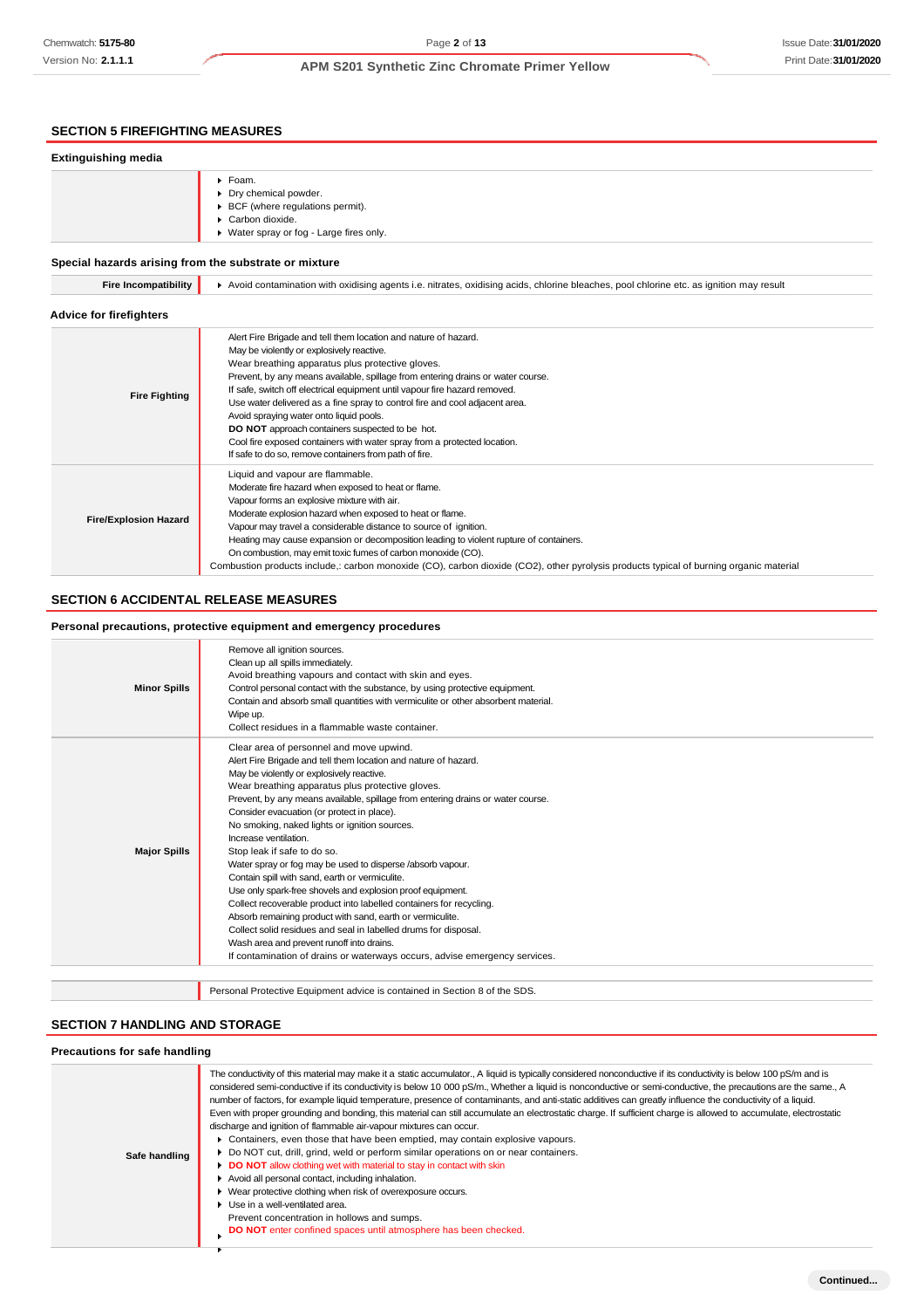# **SECTION 5 FIREFIGHTING MEASURES**

### **Extinguishing media** Foam. Dry chemical powder. BCF (where regulations permit). ▶ Carbon dioxide. Water spray or fog - Large fires only. **Special hazards arising from the substrate or mixture Fire Incompatibility**  $\bullet$  Avoid contamination with oxidising agents i.e. nitrates, oxidising acids, chlorine bleaches, pool chlorine etc. as ignition may result **Advice for firefighters Fire Fighting** Alert Fire Brigade and tell them location and nature of hazard. May be violently or explosively reactive. Wear breathing apparatus plus protective gloves. Prevent, by any means available, spillage from entering drains or water course. If safe, switch off electrical equipment until vapour fire hazard removed. Use water delivered as a fine spray to control fire and cool adjacent area. Avoid spraying water onto liquid pools. **DO NOT** approach containers suspected to be hot. Cool fire exposed containers with water spray from a protected location. If safe to do so, remove containers from path of fire. **Fire/Explosion Hazard** Liquid and vapour are flammable. Moderate fire hazard when exposed to heat or flame. Vapour forms an explosive mixture with air. Moderate explosion hazard when exposed to heat or flame.

## **SECTION 6 ACCIDENTAL RELEASE MEASURES**

#### **Personal precautions, protective equipment and emergency procedures**

| <b>Minor Spills</b> | Remove all ignition sources.<br>Clean up all spills immediately.<br>Avoid breathing vapours and contact with skin and eyes.<br>Control personal contact with the substance, by using protective equipment.<br>Contain and absorb small quantities with vermiculite or other absorbent material.<br>Wipe up.<br>Collect residues in a flammable waste container.                                                                                                                                                                                                                                                                                                                                                                                                                                                                                                                                                                                                       |
|---------------------|-----------------------------------------------------------------------------------------------------------------------------------------------------------------------------------------------------------------------------------------------------------------------------------------------------------------------------------------------------------------------------------------------------------------------------------------------------------------------------------------------------------------------------------------------------------------------------------------------------------------------------------------------------------------------------------------------------------------------------------------------------------------------------------------------------------------------------------------------------------------------------------------------------------------------------------------------------------------------|
| <b>Major Spills</b> | Clear area of personnel and move upwind.<br>Alert Fire Brigade and tell them location and nature of hazard.<br>May be violently or explosively reactive.<br>Wear breathing apparatus plus protective gloves.<br>Prevent, by any means available, spillage from entering drains or water course.<br>Consider evacuation (or protect in place).<br>No smoking, naked lights or ignition sources.<br>Increase ventilation<br>Stop leak if safe to do so.<br>Water spray or fog may be used to disperse /absorb vapour.<br>Contain spill with sand, earth or vermiculite.<br>Use only spark-free shovels and explosion proof equipment.<br>Collect recoverable product into labelled containers for recycling.<br>Absorb remaining product with sand, earth or vermiculite.<br>Collect solid residues and seal in labelled drums for disposal.<br>Wash area and prevent runoff into drains.<br>If contamination of drains or waterways occurs, advise emergency services. |
|                     |                                                                                                                                                                                                                                                                                                                                                                                                                                                                                                                                                                                                                                                                                                                                                                                                                                                                                                                                                                       |

Combustion products include,: carbon monoxide (CO), carbon dioxide (CO2), other pyrolysis products typical of burning organic material

Personal Protective Equipment advice is contained in Section 8 of the SDS.

Vapour may travel a considerable distance to source of ignition.

On combustion, may emit toxic fumes of carbon monoxide (CO).

Heating may cause expansion or decomposition leading to violent rupture of containers.

#### **SECTION 7 HANDLING AND STORAGE**

### **Precautions for safe handling**

| Safe handling | The conductivity of this material may make it a static accumulator., A liquid is typically considered nonconductive if its conductivity is below 100 pS/m and is<br>considered semi-conductive if its conductivity is below 10 000 pS/m., Whether a liquid is nonconductive or semi-conductive, the precautions are the same., A<br>number of factors, for example liquid temperature, presence of contaminants, and anti-static additives can greatly influence the conductivity of a liquid.<br>Even with proper grounding and bonding, this material can still accumulate an electrostatic charge. If sufficient charge is allowed to accumulate, electrostatic<br>discharge and ignition of flammable air-vapour mixtures can occur.<br>▶ Containers, even those that have been emptied, may contain explosive vapours.<br>▶ Do NOT cut, drill, grind, weld or perform similar operations on or near containers.<br>DO NOT allow clothing wet with material to stay in contact with skin<br>Avoid all personal contact, including inhalation.<br>▶ Wear protective clothing when risk of overexposure occurs.<br>• Use in a well-ventilated area.<br>Prevent concentration in hollows and sumps.<br>DO NOT enter confined spaces until atmosphere has been checked. |
|---------------|-------------------------------------------------------------------------------------------------------------------------------------------------------------------------------------------------------------------------------------------------------------------------------------------------------------------------------------------------------------------------------------------------------------------------------------------------------------------------------------------------------------------------------------------------------------------------------------------------------------------------------------------------------------------------------------------------------------------------------------------------------------------------------------------------------------------------------------------------------------------------------------------------------------------------------------------------------------------------------------------------------------------------------------------------------------------------------------------------------------------------------------------------------------------------------------------------------------------------------------------------------------------------|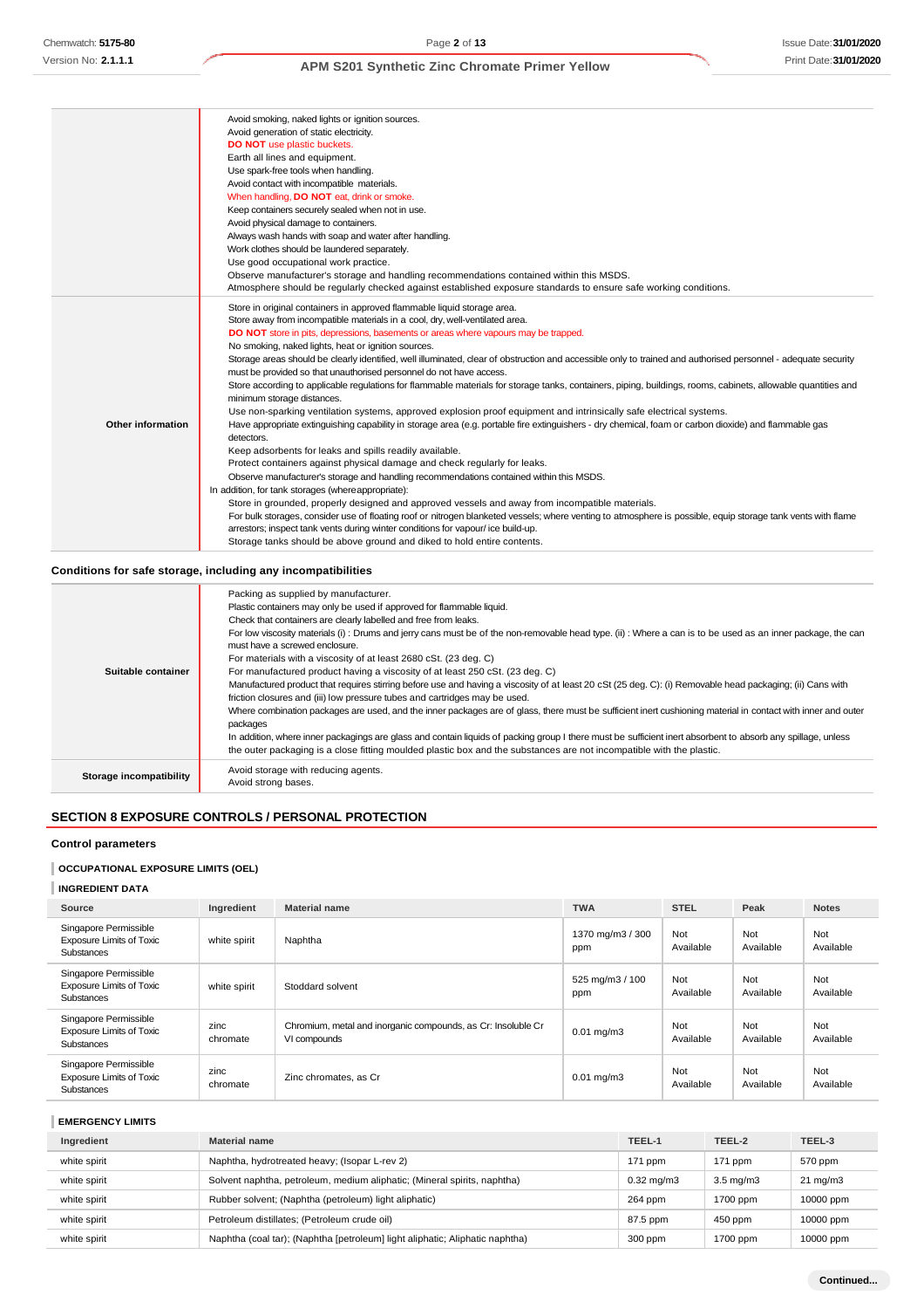|                          | Avoid smoking, naked lights or ignition sources.<br>Avoid generation of static electricity.<br><b>DO NOT</b> use plastic buckets.<br>Earth all lines and equipment.<br>Use spark-free tools when handling.<br>Avoid contact with incompatible materials.<br>When handling, DO NOT eat, drink or smoke.<br>Keep containers securely sealed when not in use.<br>Avoid physical damage to containers.<br>Always wash hands with soap and water after handling.<br>Work clothes should be laundered separately.<br>Use good occupational work practice.<br>Observe manufacturer's storage and handling recommendations contained within this MSDS.                                                                                                                                                                                                                                                                                                                                                                                                                                                                                                                                                                                                                                                                                                                                                                                                                                                                                                                                                                                                                                                                                                                                                                                                                                                    |
|--------------------------|---------------------------------------------------------------------------------------------------------------------------------------------------------------------------------------------------------------------------------------------------------------------------------------------------------------------------------------------------------------------------------------------------------------------------------------------------------------------------------------------------------------------------------------------------------------------------------------------------------------------------------------------------------------------------------------------------------------------------------------------------------------------------------------------------------------------------------------------------------------------------------------------------------------------------------------------------------------------------------------------------------------------------------------------------------------------------------------------------------------------------------------------------------------------------------------------------------------------------------------------------------------------------------------------------------------------------------------------------------------------------------------------------------------------------------------------------------------------------------------------------------------------------------------------------------------------------------------------------------------------------------------------------------------------------------------------------------------------------------------------------------------------------------------------------------------------------------------------------------------------------------------------------|
| <b>Other information</b> | Atmosphere should be regularly checked against established exposure standards to ensure safe working conditions.<br>Store in original containers in approved flammable liquid storage area.<br>Store away from incompatible materials in a cool, dry, well-ventilated area.<br><b>DO NOT</b> store in pits, depressions, basements or areas where vapours may be trapped.<br>No smoking, naked lights, heat or ignition sources.<br>Storage areas should be clearly identified, well illuminated, clear of obstruction and accessible only to trained and authorised personnel - adequate security<br>must be provided so that unauthorised personnel do not have access.<br>Store according to applicable regulations for flammable materials for storage tanks, containers, piping, buildings, rooms, cabinets, allowable quantities and<br>minimum storage distances.<br>Use non-sparking ventilation systems, approved explosion proof equipment and intrinsically safe electrical systems.<br>Have appropriate extinguishing capability in storage area (e.g. portable fire extinguishers - dry chemical, foam or carbon dioxide) and flammable gas<br>detectors.<br>Keep adsorbents for leaks and spills readily available.<br>Protect containers against physical damage and check regularly for leaks.<br>Observe manufacturer's storage and handling recommendations contained within this MSDS.<br>In addition, for tank storages (where appropriate):<br>Store in grounded, properly designed and approved vessels and away from incompatible materials.<br>For bulk storages, consider use of floating roof or nitrogen blanketed vessels; where venting to atmosphere is possible, equip storage tank vents with flame<br>arrestors; inspect tank vents during winter conditions for vapour/ice build-up.<br>Storage tanks should be above ground and diked to hold entire contents. |

## **Conditions for safe storage, including any incompatibilities**

| Suitable container      | Packing as supplied by manufacturer.<br>Plastic containers may only be used if approved for flammable liquid.<br>Check that containers are clearly labelled and free from leaks.<br>For low viscosity materials (i): Drums and jerry cans must be of the non-removable head type. (ii): Where a can is to be used as an inner package, the can<br>must have a screwed enclosure.<br>For materials with a viscosity of at least 2680 cSt. (23 deg. C)<br>For manufactured product having a viscosity of at least 250 cSt. (23 deg. C)<br>Manufactured product that requires stirring before use and having a viscosity of at least 20 cSt (25 deg. C): (i) Removable head packaging; (ii) Cans with<br>friction closures and (iii) low pressure tubes and cartridges may be used.<br>Where combination packages are used, and the inner packages are of glass, there must be sufficient inert cushioning material in contact with inner and outer<br>packages<br>In addition, where inner packagings are glass and contain liquids of packing group I there must be sufficient inert absorbent to absorb any spillage, unless<br>the outer packaging is a close fitting moulded plastic box and the substances are not incompatible with the plastic. |
|-------------------------|------------------------------------------------------------------------------------------------------------------------------------------------------------------------------------------------------------------------------------------------------------------------------------------------------------------------------------------------------------------------------------------------------------------------------------------------------------------------------------------------------------------------------------------------------------------------------------------------------------------------------------------------------------------------------------------------------------------------------------------------------------------------------------------------------------------------------------------------------------------------------------------------------------------------------------------------------------------------------------------------------------------------------------------------------------------------------------------------------------------------------------------------------------------------------------------------------------------------------------------------------|
| Storage incompatibility | Avoid storage with reducing agents.<br>Avoid strong bases.                                                                                                                                                                                                                                                                                                                                                                                                                                                                                                                                                                                                                                                                                                                                                                                                                                                                                                                                                                                                                                                                                                                                                                                           |

# **SECTION 8 EXPOSURE CONTROLS / PERSONAL PROTECTION**

### **Control parameters**

## **OCCUPATIONAL EXPOSURE LIMITS (OEL)**

## **INGREDIENT DATA**

| Source                                                                        | Ingredient       | <b>Material name</b>                                                         | <b>TWA</b>              | <b>STEL</b>      | Peak             | <b>Notes</b>     |
|-------------------------------------------------------------------------------|------------------|------------------------------------------------------------------------------|-------------------------|------------------|------------------|------------------|
| Singapore Permissible<br><b>Exposure Limits of Toxic</b><br>Substances        | white spirit     | Naphtha                                                                      | 1370 mg/m3 / 300<br>ppm | Not<br>Available | Not<br>Available | Not<br>Available |
| Singapore Permissible<br><b>Exposure Limits of Toxic</b><br><b>Substances</b> | white spirit     | Stoddard solvent                                                             | 525 mg/m3 / 100<br>ppm  | Not<br>Available | Not<br>Available | Not<br>Available |
| Singapore Permissible<br><b>Exposure Limits of Toxic</b><br><b>Substances</b> | zinc<br>chromate | Chromium, metal and inorganic compounds, as Cr: Insoluble Cr<br>VI compounds | $0.01 \text{ mg/m}$ 3   | Not<br>Available | Not<br>Available | Not<br>Available |
| Singapore Permissible<br><b>Exposure Limits of Toxic</b><br>Substances        | zinc<br>chromate | Zinc chromates, as Cr.                                                       | $0.01 \text{ mg/m}$ 3   | Not<br>Available | Not<br>Available | Not<br>Available |

### **EMERGENCY LIMITS**

| Ingredient   | <b>Material name</b>                                                         | TEEL-1                | TEEL-2             | TEEL-3            |
|--------------|------------------------------------------------------------------------------|-----------------------|--------------------|-------------------|
| white spirit | Naphtha, hydrotreated heavy; (Isopar L-rev 2)                                | $171$ ppm             | $171$ ppm          | 570 ppm           |
| white spirit | Solvent naphtha, petroleum, medium aliphatic; (Mineral spirits, naphtha)     | $0.32 \text{ mg/m}$ 3 | $3.5 \text{ mg/m}$ | $21 \text{ mg/m}$ |
| white spirit | Rubber solvent; (Naphtha (petroleum) light aliphatic)                        | 264 ppm               | 1700 ppm           | 10000 ppm         |
| white spirit | Petroleum distillates; (Petroleum crude oil)                                 | 87.5 ppm              | 450 ppm            | 10000 ppm         |
| white spirit | Naphtha (coal tar); (Naphtha [petroleum] light aliphatic; Aliphatic naphtha) | 300 ppm               | 1700 ppm           | 10000 ppm         |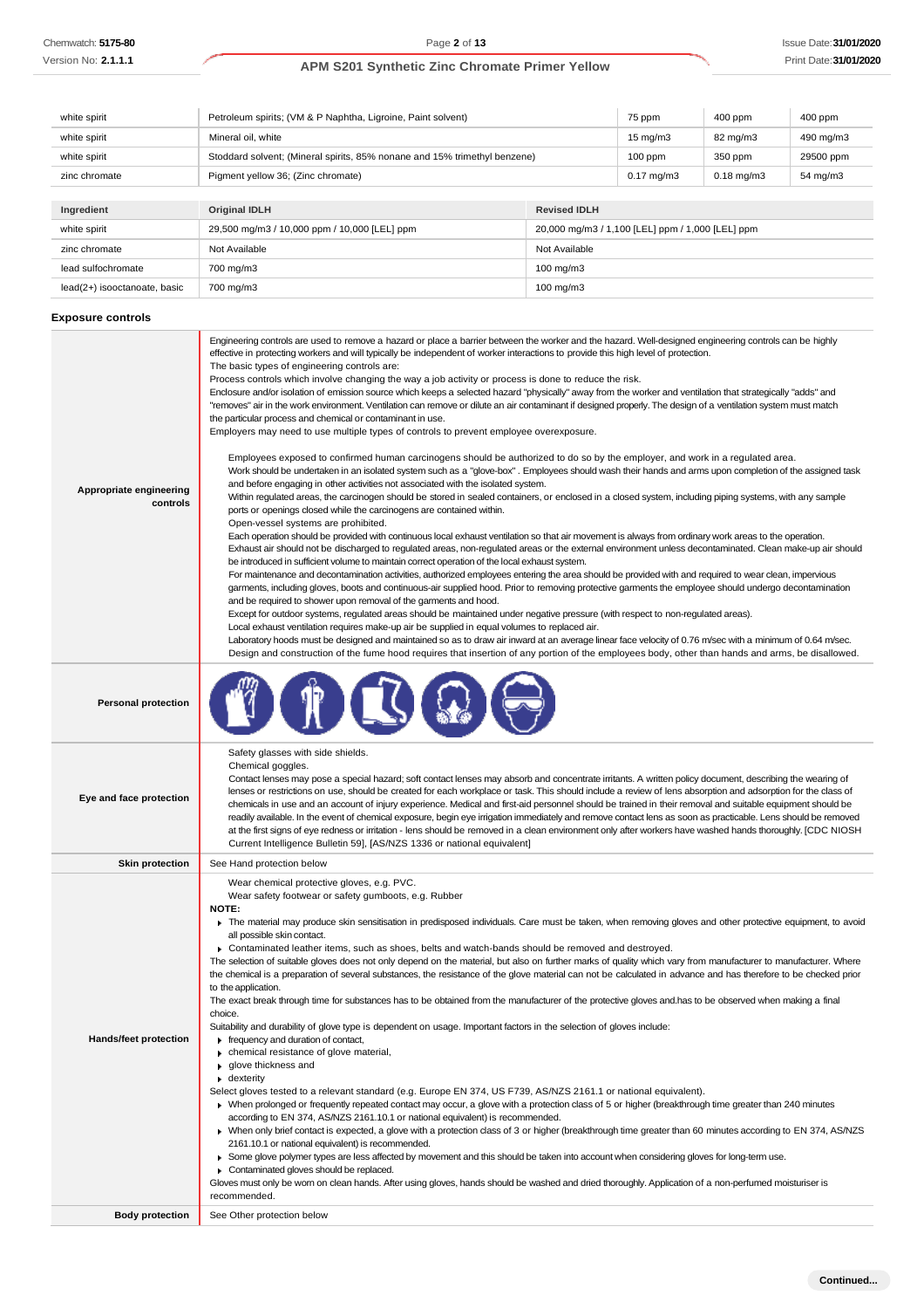| white spirit                 | Petroleum spirits; (VM & P Naphtha, Ligroine, Paint solvent) | 75 ppm                                                                    | 400 ppm | 400 ppm  |           |
|------------------------------|--------------------------------------------------------------|---------------------------------------------------------------------------|---------|----------|-----------|
| white spirit                 | Mineral oil, white                                           |                                                                           |         | 82 mg/m3 | 490 mg/m3 |
| white spirit                 |                                                              | Stoddard solvent; (Mineral spirits, 85% nonane and 15% trimethyl benzene) |         | 350 ppm  | 29500 ppm |
| zinc chromate                | Pigment yellow 36; (Zinc chromate)                           |                                                                           |         |          | 54 mg/m3  |
|                              |                                                              |                                                                           |         |          |           |
| Ingredient                   | <b>Original IDLH</b>                                         | <b>Revised IDLH</b>                                                       |         |          |           |
| white spirit                 | 29,500 mg/m3 / 10,000 ppm / 10,000 [LEL] ppm                 | 20,000 mg/m3 / 1,100 [LEL] ppm / 1,000 [LEL] ppm                          |         |          |           |
| zinc chromate                | Not Available                                                | Not Available                                                             |         |          |           |
| lead sulfochromate           | 700 mg/m3                                                    | $100 \text{ mg/m}$                                                        |         |          |           |
| lead(2+) isooctanoate, basic | 700 mg/m3                                                    | $100 \text{ mg/m}$ 3                                                      |         |          |           |

## **Exposure controls**

| Appropriate engineering<br>controls             | Engineering controls are used to remove a hazard or place a barrier between the worker and the hazard. Well-designed engineering controls can be highly<br>effective in protecting workers and will typically be independent of worker interactions to provide this high level of protection.<br>The basic types of engineering controls are:<br>Process controls which involve changing the way a job activity or process is done to reduce the risk.<br>Enclosure and/or isolation of emission source which keeps a selected hazard "physically" away from the worker and ventilation that strategically "adds" and<br>"removes" air in the work environment. Ventilation can remove or dilute an air contaminant if designed properly. The design of a ventilation system must match<br>the particular process and chemical or contaminant in use.<br>Employers may need to use multiple types of controls to prevent employee overexposure.<br>Employees exposed to confirmed human carcinogens should be authorized to do so by the employer, and work in a regulated area.<br>Work should be undertaken in an isolated system such as a "glove-box". Employees should wash their hands and arms upon completion of the assigned task<br>and before engaging in other activities not associated with the isolated system.<br>Within regulated areas, the carcinogen should be stored in sealed containers, or enclosed in a closed system, including piping systems, with any sample<br>ports or openings closed while the carcinogens are contained within.<br>Open-vessel systems are prohibited.<br>Each operation should be provided with continuous local exhaust ventilation so that air movement is always from ordinary work areas to the operation.<br>Exhaust air should not be discharged to regulated areas, non-regulated areas or the external environment unless decontaminated. Clean make-up air should<br>be introduced in sufficient volume to maintain correct operation of the local exhaust system.<br>For maintenance and decontamination activities, authorized employees entering the area should be provided with and required to wear clean, impervious<br>garments, including gloves, boots and continuous-air supplied hood. Prior to removing protective garments the employee should undergo decontamination<br>and be required to shower upon removal of the garments and hood.<br>Except for outdoor systems, regulated areas should be maintained under negative pressure (with respect to non-regulated areas).<br>Local exhaust ventilation requires make-up air be supplied in equal volumes to replaced air.<br>Laboratory hoods must be designed and maintained so as to draw air inward at an average linear face velocity of 0.76 m/sec with a minimum of 0.64 m/sec.<br>Design and construction of the fume hood requires that insertion of any portion of the employees body, other than hands and arms, be disallowed. |
|-------------------------------------------------|-------------------------------------------------------------------------------------------------------------------------------------------------------------------------------------------------------------------------------------------------------------------------------------------------------------------------------------------------------------------------------------------------------------------------------------------------------------------------------------------------------------------------------------------------------------------------------------------------------------------------------------------------------------------------------------------------------------------------------------------------------------------------------------------------------------------------------------------------------------------------------------------------------------------------------------------------------------------------------------------------------------------------------------------------------------------------------------------------------------------------------------------------------------------------------------------------------------------------------------------------------------------------------------------------------------------------------------------------------------------------------------------------------------------------------------------------------------------------------------------------------------------------------------------------------------------------------------------------------------------------------------------------------------------------------------------------------------------------------------------------------------------------------------------------------------------------------------------------------------------------------------------------------------------------------------------------------------------------------------------------------------------------------------------------------------------------------------------------------------------------------------------------------------------------------------------------------------------------------------------------------------------------------------------------------------------------------------------------------------------------------------------------------------------------------------------------------------------------------------------------------------------------------------------------------------------------------------------------------------------------------------------------------------------------------------------------------------------------------------------------------------------------------------------------------------------------------------------------------------------------------------------------------------------------------------------------------------------------|
| <b>Personal protection</b>                      |                                                                                                                                                                                                                                                                                                                                                                                                                                                                                                                                                                                                                                                                                                                                                                                                                                                                                                                                                                                                                                                                                                                                                                                                                                                                                                                                                                                                                                                                                                                                                                                                                                                                                                                                                                                                                                                                                                                                                                                                                                                                                                                                                                                                                                                                                                                                                                                                                                                                                                                                                                                                                                                                                                                                                                                                                                                                                                                                                                         |
| Eye and face protection                         | Safety glasses with side shields.<br>Chemical goggles.<br>Contact lenses may pose a special hazard; soft contact lenses may absorb and concentrate irritants. A written policy document, describing the wearing of<br>lenses or restrictions on use, should be created for each workplace or task. This should include a review of lens absorption and adsorption for the class of<br>chemicals in use and an account of injury experience. Medical and first-aid personnel should be trained in their removal and suitable equipment should be<br>readily available. In the event of chemical exposure, begin eye irrigation immediately and remove contact lens as soon as practicable. Lens should be removed<br>at the first signs of eye redness or irritation - lens should be removed in a clean environment only after workers have washed hands thoroughly. [CDC NIOSH<br>Current Intelligence Bulletin 59], [AS/NZS 1336 or national equivalent]                                                                                                                                                                                                                                                                                                                                                                                                                                                                                                                                                                                                                                                                                                                                                                                                                                                                                                                                                                                                                                                                                                                                                                                                                                                                                                                                                                                                                                                                                                                                                                                                                                                                                                                                                                                                                                                                                                                                                                                                              |
| <b>Skin protection</b>                          | See Hand protection below                                                                                                                                                                                                                                                                                                                                                                                                                                                                                                                                                                                                                                                                                                                                                                                                                                                                                                                                                                                                                                                                                                                                                                                                                                                                                                                                                                                                                                                                                                                                                                                                                                                                                                                                                                                                                                                                                                                                                                                                                                                                                                                                                                                                                                                                                                                                                                                                                                                                                                                                                                                                                                                                                                                                                                                                                                                                                                                                               |
| Hands/feet protection<br><b>Body protection</b> | Wear chemical protective gloves, e.g. PVC.<br>Wear safety footwear or safety gumboots, e.g. Rubber<br>NOTE:<br>The material may produce skin sensitisation in predisposed individuals. Care must be taken, when removing gloves and other protective equipment, to avoid<br>all possible skin contact.<br>► Contaminated leather items, such as shoes, belts and watch-bands should be removed and destroyed.<br>The selection of suitable gloves does not only depend on the material, but also on further marks of quality which vary from manufacturer to manufacturer. Where<br>the chemical is a preparation of several substances, the resistance of the glove material can not be calculated in advance and has therefore to be checked prior<br>to the application.<br>The exact break through time for substances has to be obtained from the manufacturer of the protective gloves and has to be observed when making a final<br>choice.<br>Suitability and durability of glove type is dependent on usage. Important factors in the selection of gloves include:<br>Firequency and duration of contact,<br>• chemical resistance of glove material,<br>glove thickness and<br>$\bullet$ dexterity<br>Select gloves tested to a relevant standard (e.g. Europe EN 374, US F739, AS/NZS 2161.1 or national equivalent).<br>▶ When prolonged or frequently repeated contact may occur, a glove with a protection class of 5 or higher (breakthrough time greater than 240 minutes<br>according to EN 374, AS/NZS 2161.10.1 or national equivalent) is recommended.<br>> When only brief contact is expected, a glove with a protection class of 3 or higher (breakthrough time greater than 60 minutes according to EN 374, AS/NZS<br>2161.10.1 or national equivalent) is recommended.<br>▶ Some glove polymer types are less affected by movement and this should be taken into account when considering gloves for long-term use.<br>Contaminated gloves should be replaced.<br>Gloves must only be wom on clean hands. After using gloves, hands should be washed and dried thoroughly. Application of a non-perfumed moisturiser is<br>recommended.<br>See Other protection below                                                                                                                                                                                                                                                                                                                                                                                                                                                                                                                                                                                                                                                                                                                                                                          |
|                                                 |                                                                                                                                                                                                                                                                                                                                                                                                                                                                                                                                                                                                                                                                                                                                                                                                                                                                                                                                                                                                                                                                                                                                                                                                                                                                                                                                                                                                                                                                                                                                                                                                                                                                                                                                                                                                                                                                                                                                                                                                                                                                                                                                                                                                                                                                                                                                                                                                                                                                                                                                                                                                                                                                                                                                                                                                                                                                                                                                                                         |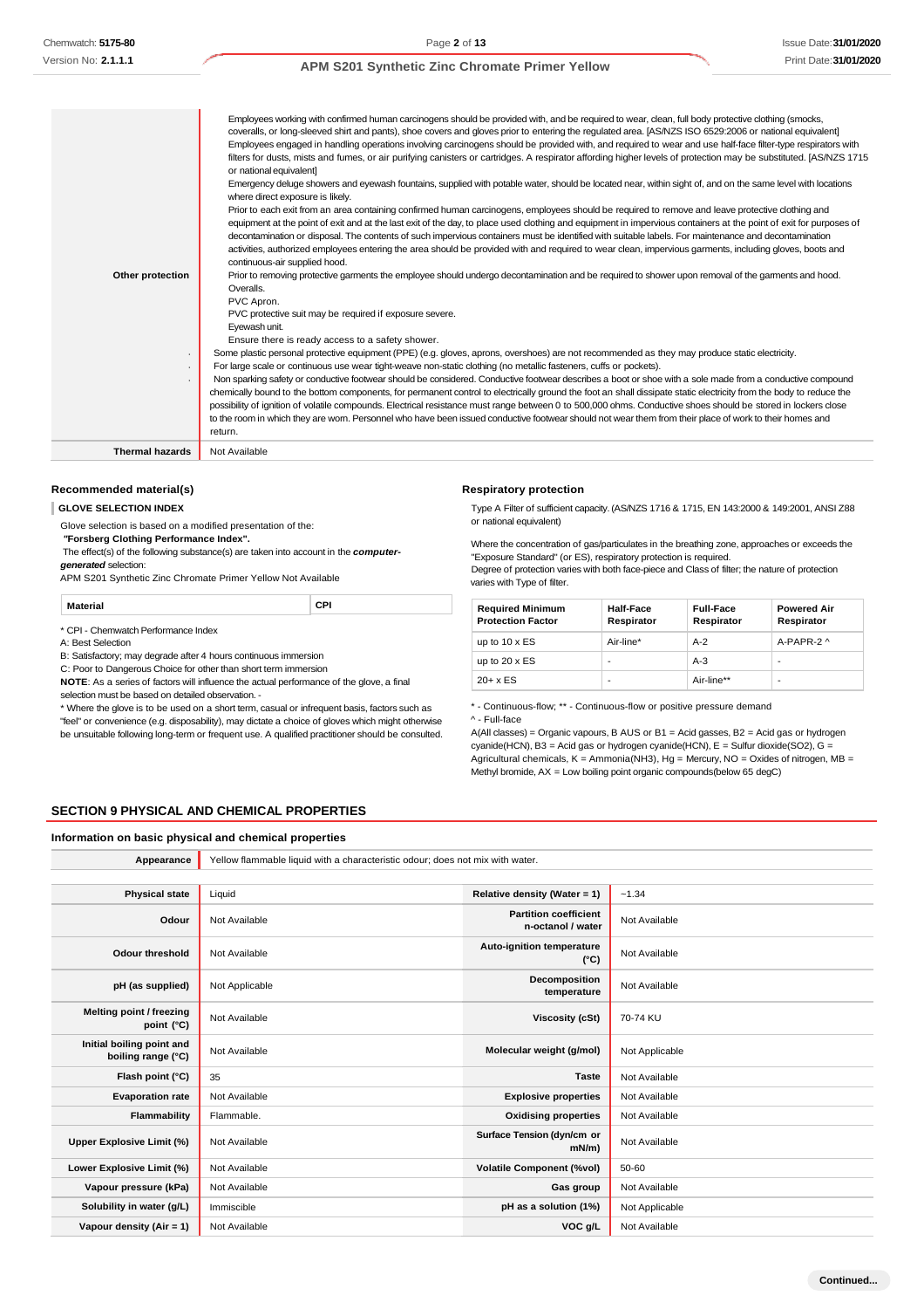| Other protection       | Employees working with confirmed human carcinogens should be provided with, and be required to wear, clean, full body protective clothing (smocks,<br>coveralls, or long-sleeved shirt and pants), shoe covers and gloves prior to entering the regulated area. [AS/NZS ISO 6529:2006 or national equivalent]<br>Employees engaged in handling operations involving carcinogens should be provided with, and required to wear and use half-face filter-type respirators with<br>filters for dusts, mists and fumes, or air purifying canisters or cartridges. A respirator affording higher levels of protection may be substituted. [AS/NZS 1715<br>or national equivalent]<br>Emergency deluge showers and eyewash fountains, supplied with potable water, should be located near, within sight of, and on the same level with locations<br>where direct exposure is likely.<br>Prior to each exit from an area containing confirmed human carcinogens, employees should be required to remove and leave protective clothing and<br>equipment at the point of exit and at the last exit of the day, to place used clothing and equipment in impervious containers at the point of exit for purposes of<br>decontamination or disposal. The contents of such impervious containers must be identified with suitable labels. For maintenance and decontamination<br>activities, authorized employees entering the area should be provided with and required to wear clean, impervious garments, including gloves, boots and<br>continuous-air supplied hood.<br>Prior to removing protective garments the employee should undergo decontamination and be required to shower upon removal of the garments and hood.<br>Overalls.<br>PVC Apron.<br>PVC protective suit may be required if exposure severe.<br>Eyewash unit.<br>Ensure there is ready access to a safety shower.<br>Some plastic personal protective equipment (PPE) (e.g. gloves, aprons, overshoes) are not recommended as they may produce static electricity.<br>For large scale or continuous use wear tight-weave non-static clothing (no metallic fasteners, cuffs or pockets).<br>Non sparking safety or conductive footwear should be considered. Conductive footwear describes a boot or shoe with a sole made from a conductive compound<br>chemically bound to the bottom components, for permanent control to electrically ground the foot an shall dissipate static electricity from the body to reduce the<br>possibility of ignition of volatile compounds. Electrical resistance must range between 0 to 500,000 ohms. Conductive shoes should be stored in lockers close<br>to the room in which they are worn. Personnel who have been issued conductive footwear should not wear them from their place of work to their homes and<br>return. |
|------------------------|-------------------------------------------------------------------------------------------------------------------------------------------------------------------------------------------------------------------------------------------------------------------------------------------------------------------------------------------------------------------------------------------------------------------------------------------------------------------------------------------------------------------------------------------------------------------------------------------------------------------------------------------------------------------------------------------------------------------------------------------------------------------------------------------------------------------------------------------------------------------------------------------------------------------------------------------------------------------------------------------------------------------------------------------------------------------------------------------------------------------------------------------------------------------------------------------------------------------------------------------------------------------------------------------------------------------------------------------------------------------------------------------------------------------------------------------------------------------------------------------------------------------------------------------------------------------------------------------------------------------------------------------------------------------------------------------------------------------------------------------------------------------------------------------------------------------------------------------------------------------------------------------------------------------------------------------------------------------------------------------------------------------------------------------------------------------------------------------------------------------------------------------------------------------------------------------------------------------------------------------------------------------------------------------------------------------------------------------------------------------------------------------------------------------------------------------------------------------------------------------------------------------------------------------------------------------------------------------------------------------------------------------------------------------------------------------------------------------------------------------------------------------------------------------------------------------------------|
| <b>Thermal hazards</b> | Not Available                                                                                                                                                                                                                                                                                                                                                                                                                                                                                                                                                                                                                                                                                                                                                                                                                                                                                                                                                                                                                                                                                                                                                                                                                                                                                                                                                                                                                                                                                                                                                                                                                                                                                                                                                                                                                                                                                                                                                                                                                                                                                                                                                                                                                                                                                                                                                                                                                                                                                                                                                                                                                                                                                                                                                                                                                 |

#### **Recommended material(s)**

#### **GLOVE SELECTION INDEX**

Glove selection is based on a modified presentation of the: *"***Forsberg Clothing Performance Index".**

The effect(s) of the following substance(s) are taken into account in the *computergenerated* selection:

APM S201 Synthetic Zinc Chromate Primer Yellow Not Available

**Material CPI**

\* CPI - Chemwatch Performance Index

A: Best Selection

B: Satisfactory; may degrade after 4 hours continuous immersion

C: Poor to Dangerous Choice for other than short term immersion

**NOTE**: As a series of factors will influence the actual performance of the glove, a final selection must be based on detailed observation. -

\* Where the glove is to be used on a short term, casual or infrequent basis, factors such as "feel" or convenience (e.g. disposability), may dictate a choice of gloves which might otherwise be unsuitable following long-term or frequent use. A qualified practitioner should be consulted.

#### **Respiratory protection**

Type A Filter of sufficient capacity. (AS/NZS 1716 & 1715, EN 143:2000 & 149:2001, ANSI Z88 or national equivalent)

Where the concentration of gas/particulates in the breathing zone, approaches or exceeds the "Exposure Standard" (or ES), respiratory protection is required.

Degree of protection varies with both face-piece and Class of filter; the nature of protection varies with Type of filter.

| <b>Required Minimum</b><br><b>Protection Factor</b> | <b>Half-Face</b><br>Respirator | <b>Full-Face</b><br>Respirator | <b>Powered Air</b><br>Respirator |
|-----------------------------------------------------|--------------------------------|--------------------------------|----------------------------------|
| up to $10 \times ES$                                | Air-line*                      | $A-2$                          | $A-PAPR-2$ $\wedge$              |
| up to $20 \times ES$                                | ٠                              | $A-3$                          | ٠                                |
| $20+ x ES$                                          | -                              | Air-line**                     | ٠                                |

\* - Continuous-flow; \*\* - Continuous-flow or positive pressure demand

^ - Full-face

A(All classes) = Organic vapours, B AUS or B1 = Acid gasses, B2 = Acid gas or hydrogen cyanide(HCN), B3 = Acid gas or hydrogen cyanide(HCN), E = Sulfur dioxide(SO2), G = Agricultural chemicals, K = Ammonia(NH3), Hg = Mercury, NO = Oxides of nitrogen, MB = Methyl bromide, AX = Low boiling point organic compounds(below 65 degC)

### **SECTION 9 PHYSICAL AND CHEMICAL PROPERTIES**

#### **Information on basic physical and chemical properties**

**Appearance** Yellow flammable liquid with a characteristic odour; does not mix with water.

| <b>Physical state</b>                           | Liquid         | Relative density (Water = 1)                      | $-1.34$        |
|-------------------------------------------------|----------------|---------------------------------------------------|----------------|
| Odour                                           | Not Available  | <b>Partition coefficient</b><br>n-octanol / water | Not Available  |
| Odour threshold                                 | Not Available  | Auto-ignition temperature<br>$(^{\circ}C)$        | Not Available  |
| pH (as supplied)                                | Not Applicable | Decomposition<br>temperature                      | Not Available  |
| Melting point / freezing<br>point (°C)          | Not Available  | <b>Viscosity (cSt)</b>                            | 70-74 KU       |
| Initial boiling point and<br>boiling range (°C) | Not Available  | Molecular weight (g/mol)                          | Not Applicable |
| Flash point (°C)                                | 35             | <b>Taste</b>                                      | Not Available  |
| <b>Evaporation rate</b>                         | Not Available  | <b>Explosive properties</b>                       | Not Available  |
| Flammability                                    | Flammable.     | <b>Oxidising properties</b>                       | Not Available  |
| Upper Explosive Limit (%)                       | Not Available  | Surface Tension (dyn/cm or<br>mN/m                | Not Available  |
| Lower Explosive Limit (%)                       | Not Available  | <b>Volatile Component (%vol)</b>                  | 50-60          |
| Vapour pressure (kPa)                           | Not Available  | Gas group                                         | Not Available  |
| Solubility in water (g/L)                       | Immiscible     | pH as a solution (1%)                             | Not Applicable |
| Vapour density (Air = 1)                        | Not Available  | VOC g/L                                           | Not Available  |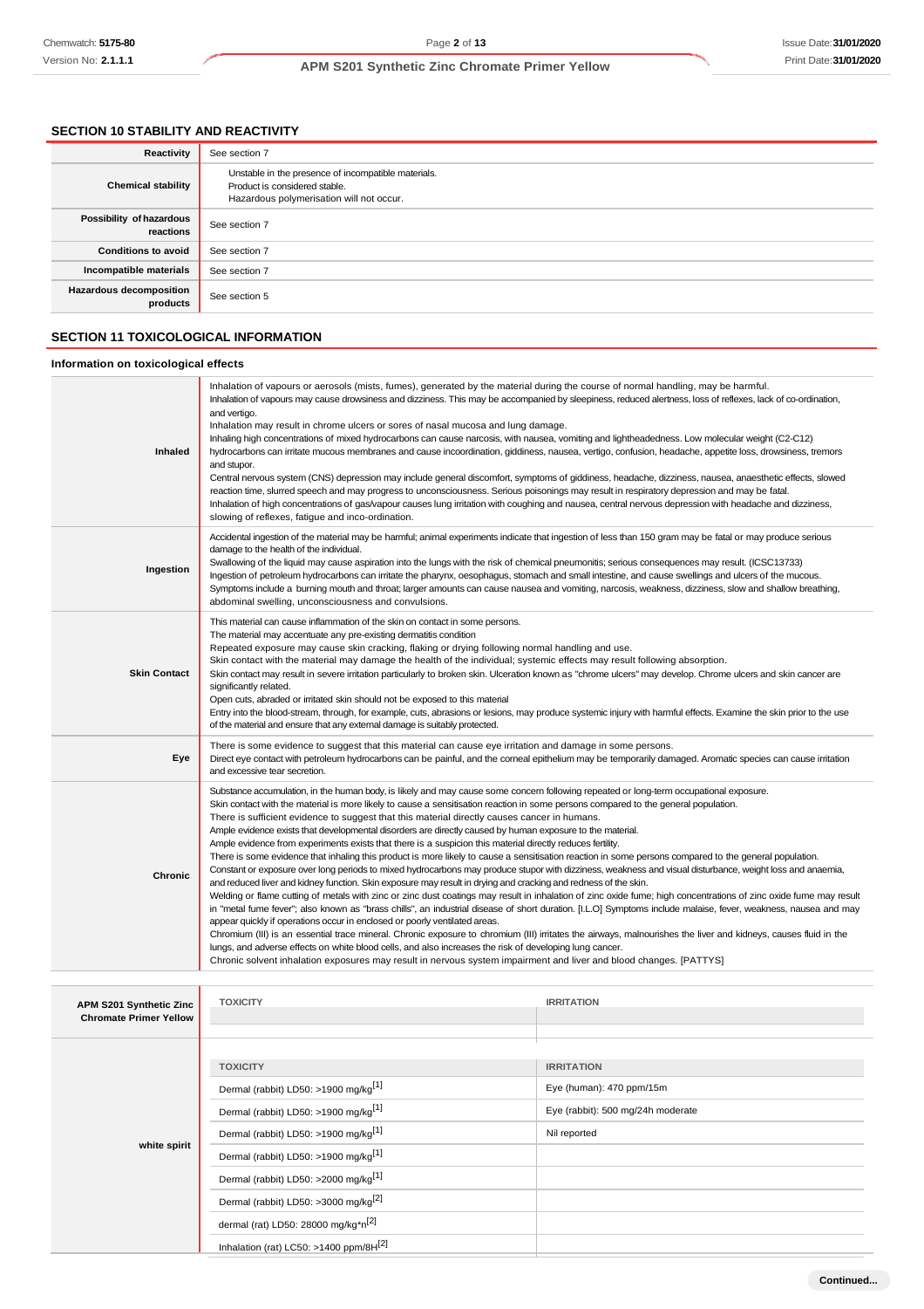# **SECTION 10 STABILITY AND REACTIVITY**

| Reactivity                                 | See section 7                                                                                                                    |
|--------------------------------------------|----------------------------------------------------------------------------------------------------------------------------------|
| <b>Chemical stability</b>                  | Unstable in the presence of incompatible materials.<br>Product is considered stable.<br>Hazardous polymerisation will not occur. |
| Possibility of hazardous<br>reactions      | See section 7                                                                                                                    |
| <b>Conditions to avoid</b>                 | See section 7                                                                                                                    |
| Incompatible materials                     | See section 7                                                                                                                    |
| <b>Hazardous decomposition</b><br>products | See section 5                                                                                                                    |

## **SECTION 11 TOXICOLOGICAL INFORMATION**

# **Information on toxicological effects**

| Inhaled                                                  | Inhalation of vapours or aerosols (mists, fumes), generated by the material during the course of normal handling, may be harmful.<br>Inhalation of vapours may cause drowsiness and dizziness. This may be accompanied by sleepiness, reduced alertness, loss of reflexes, lack of co-ordination,<br>and vertigo.<br>Inhalation may result in chrome ulcers or sores of nasal mucosa and lung damage.<br>Inhaling high concentrations of mixed hydrocarbons can cause narcosis, with nausea, vomiting and lightheadedness. Low molecular weight (C2-C12)<br>hydrocarbons can irritate mucous membranes and cause incoordination, giddiness, nausea, vertigo, confusion, headache, appetite loss, drowsiness, tremors<br>and stupor.<br>Central nervous system (CNS) depression may include general discomfort, symptoms of giddiness, headache, dizziness, nausea, anaesthetic effects, slowed<br>reaction time, slurred speech and may progress to unconsciousness. Serious poisonings may result in respiratory depression and may be fatal.<br>Inhalation of high concentrations of gas/vapour causes lung irritation with coughing and nausea, central nervous depression with headache and dizziness,<br>slowing of reflexes, fatigue and inco-ordination.                                                                                                                                                                                                                                                                                                                                                                                                                                                                                                                                                                                                             |                                                                                                    |  |
|----------------------------------------------------------|-----------------------------------------------------------------------------------------------------------------------------------------------------------------------------------------------------------------------------------------------------------------------------------------------------------------------------------------------------------------------------------------------------------------------------------------------------------------------------------------------------------------------------------------------------------------------------------------------------------------------------------------------------------------------------------------------------------------------------------------------------------------------------------------------------------------------------------------------------------------------------------------------------------------------------------------------------------------------------------------------------------------------------------------------------------------------------------------------------------------------------------------------------------------------------------------------------------------------------------------------------------------------------------------------------------------------------------------------------------------------------------------------------------------------------------------------------------------------------------------------------------------------------------------------------------------------------------------------------------------------------------------------------------------------------------------------------------------------------------------------------------------------------------------------------------------------------------------------------------------------------|----------------------------------------------------------------------------------------------------|--|
| Ingestion                                                | Accidental ingestion of the material may be harmful; animal experiments indicate that ingestion of less than 150 gram may be fatal or may produce serious<br>damage to the health of the individual.<br>Swallowing of the liquid may cause aspiration into the lungs with the risk of chemical pneumonitis; serious consequences may result. (ICSC13733)<br>Ingestion of petroleum hydrocarbons can irritate the pharynx, oesophagus, stomach and small intestine, and cause swellings and ulcers of the mucous.<br>Symptoms include a burning mouth and throat; larger amounts can cause nausea and vomiting, narcosis, weakness, dizziness, slow and shallow breathing,<br>abdominal swelling, unconsciousness and convulsions.                                                                                                                                                                                                                                                                                                                                                                                                                                                                                                                                                                                                                                                                                                                                                                                                                                                                                                                                                                                                                                                                                                                                           |                                                                                                    |  |
| <b>Skin Contact</b>                                      | This material can cause inflammation of the skin on contact in some persons.<br>The material may accentuate any pre-existing dermatitis condition<br>Repeated exposure may cause skin cracking, flaking or drying following normal handling and use.<br>Skin contact with the material may damage the health of the individual; systemic effects may result following absorption.<br>Skin contact may result in severe irritation particularly to broken skin. Ulceration known as "chrome ulcers" may develop. Chrome ulcers and skin cancer are<br>significantly related.<br>Open cuts, abraded or irritated skin should not be exposed to this material<br>Entry into the blood-stream, through, for example, cuts, abrasions or lesions, may produce systemic injury with harmful effects. Examine the skin prior to the use<br>of the material and ensure that any external damage is suitably protected.                                                                                                                                                                                                                                                                                                                                                                                                                                                                                                                                                                                                                                                                                                                                                                                                                                                                                                                                                              |                                                                                                    |  |
| Eye                                                      | There is some evidence to suggest that this material can cause eye irritation and damage in some persons.<br>Direct eye contact with petroleum hydrocarbons can be painful, and the corneal epithelium may be temporarily damaged. Aromatic species can cause irritation<br>and excessive tear secretion.                                                                                                                                                                                                                                                                                                                                                                                                                                                                                                                                                                                                                                                                                                                                                                                                                                                                                                                                                                                                                                                                                                                                                                                                                                                                                                                                                                                                                                                                                                                                                                   |                                                                                                    |  |
| Chronic                                                  | Substance accumulation, in the human body, is likely and may cause some concem following repeated or long-term occupational exposure.<br>Skin contact with the material is more likely to cause a sensitisation reaction in some persons compared to the general population.<br>There is sufficient evidence to suggest that this material directly causes cancer in humans.<br>Ample evidence exists that developmental disorders are directly caused by human exposure to the material.<br>Ample evidence from experiments exists that there is a suspicion this material directly reduces fertility.<br>There is some evidence that inhaling this product is more likely to cause a sensitisation reaction in some persons compared to the general population.<br>Constant or exposure over long periods to mixed hydrocarbons may produce stupor with dizziness, weakness and visual disturbance, weight loss and anaemia,<br>and reduced liver and kidney function. Skin exposure may result in drying and cracking and redness of the skin.<br>Welding or flame cutting of metals with zinc or zinc dust coatings may result in inhalation of zinc oxide fume; high concentrations of zinc oxide fume may result<br>in "metal fume fever"; also known as "brass chills", an industrial disease of short duration. [I.L.O] Symptoms include malaise, fever, weakness, nausea and may<br>appear quickly if operations occur in enclosed or poorly ventilated areas.<br>Chromium (III) is an essential trace mineral. Chronic exposure to chromium (III) irritates the airways, malnourishes the liver and kidneys, causes fluid in the<br>lungs, and adverse effects on white blood cells, and also increases the risk of developing lung cancer.<br>Chronic solvent inhalation exposures may result in nervous system impairment and liver and blood changes. [PATTYS] |                                                                                                    |  |
| APM S201 Synthetic Zinc<br><b>Chromate Primer Yellow</b> | <b>TOXICITY</b>                                                                                                                                                                                                                                                                                                                                                                                                                                                                                                                                                                                                                                                                                                                                                                                                                                                                                                                                                                                                                                                                                                                                                                                                                                                                                                                                                                                                                                                                                                                                                                                                                                                                                                                                                                                                                                                             | <b>IRRITATION</b>                                                                                  |  |
| white spirit                                             | <b>TOXICITY</b><br>Dermal (rabbit) LD50: >1900 mg/kg <sup>[1]</sup><br>Dermal (rabbit) LD50: >1900 mg/kg <sup>[1]</sup><br>Dermal (rabbit) LD50: >1900 mg/kg <sup>[1]</sup><br>Dermal (rabbit) LD50: >1900 mg/kg <sup>[1]</sup><br>Dermal (rabbit) LD50: >2000 mg/kg <sup>[1]</sup><br>Dermal (rabbit) LD50: >3000 mg/kg <sup>[2]</sup>                                                                                                                                                                                                                                                                                                                                                                                                                                                                                                                                                                                                                                                                                                                                                                                                                                                                                                                                                                                                                                                                                                                                                                                                                                                                                                                                                                                                                                                                                                                                     | <b>IRRITATION</b><br>Eye (human): 470 ppm/15m<br>Eye (rabbit): 500 mg/24h moderate<br>Nil reported |  |
|                                                          | dermal (rat) LD50: 28000 mg/kg*n <sup>[2]</sup>                                                                                                                                                                                                                                                                                                                                                                                                                                                                                                                                                                                                                                                                                                                                                                                                                                                                                                                                                                                                                                                                                                                                                                                                                                                                                                                                                                                                                                                                                                                                                                                                                                                                                                                                                                                                                             |                                                                                                    |  |

Inhalation (rat) LC50: >1400 ppm/8H<sup>[2]</sup>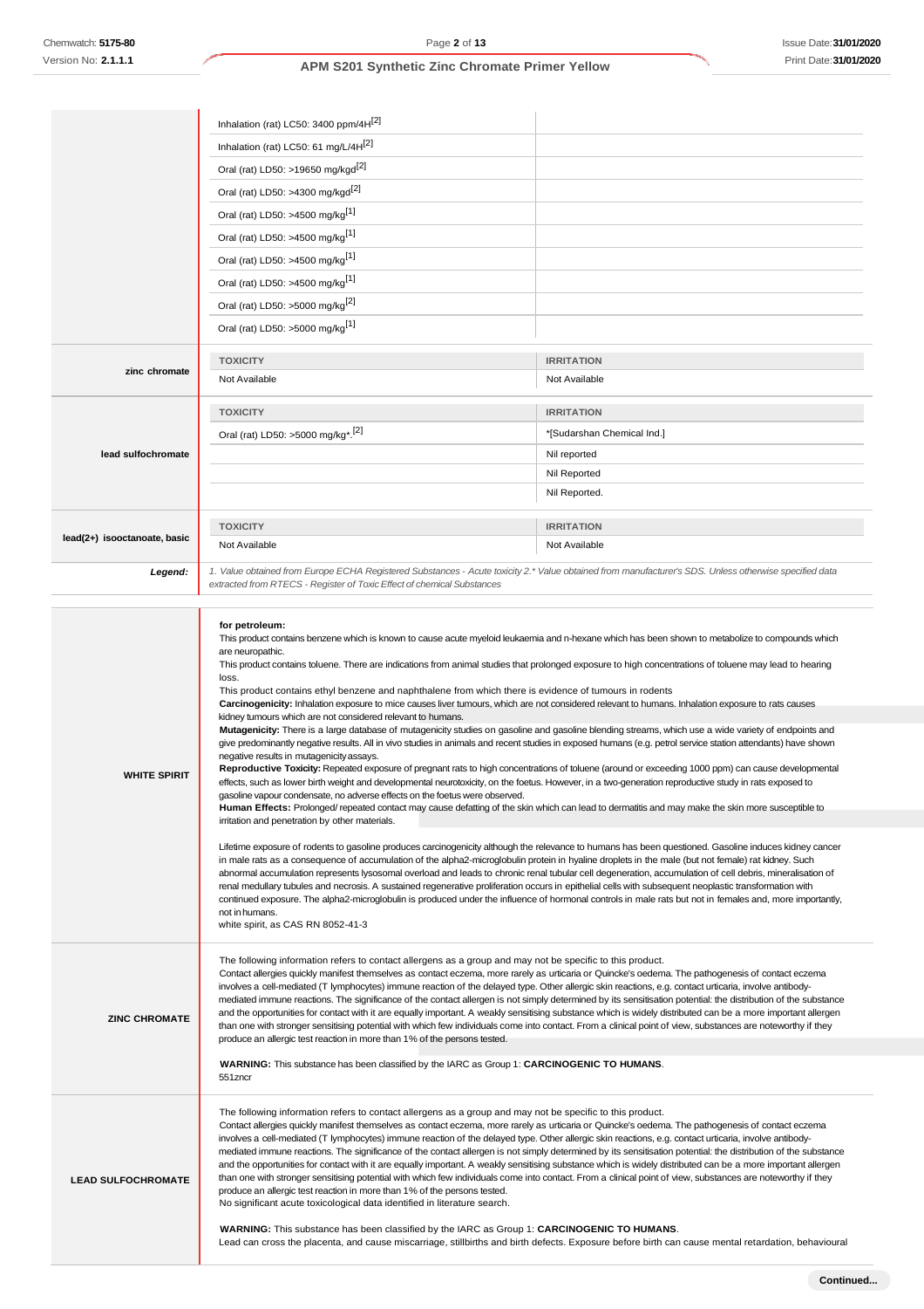|                              | Inhalation (rat) LC50: 3400 ppm/4H[2]<br>Inhalation (rat) LC50: 61 mg/L/4H <sup>[2]</sup><br>Oral (rat) LD50: >19650 mg/kgd <sup>[2]</sup><br>Oral (rat) LD50: >4300 mg/kgd <sup>[2]</sup><br>Oral (rat) LD50: >4500 mg/kg <sup>[1]</sup><br>Oral (rat) LD50: >4500 mg/kg <sup>[1]</sup><br>Oral (rat) LD50: >4500 mg/kg <sup>[1]</sup><br>Oral (rat) LD50: >4500 mg/kg <sup>[1]</sup><br>Oral (rat) LD50: >5000 mg/kg $^{[2]}$                                                                                                                                                                                                                                                                                                                                                                                                                                                                                                                                                                                                                                                                                                                                                                                                                                                                                                                                                                                                                                                                                                                                                                                                                                    |                                                                                                                                                                                                                                                                                                                                                                                                                                                                                                                                                                                                                                                                                                                                                                                                              |  |
|------------------------------|--------------------------------------------------------------------------------------------------------------------------------------------------------------------------------------------------------------------------------------------------------------------------------------------------------------------------------------------------------------------------------------------------------------------------------------------------------------------------------------------------------------------------------------------------------------------------------------------------------------------------------------------------------------------------------------------------------------------------------------------------------------------------------------------------------------------------------------------------------------------------------------------------------------------------------------------------------------------------------------------------------------------------------------------------------------------------------------------------------------------------------------------------------------------------------------------------------------------------------------------------------------------------------------------------------------------------------------------------------------------------------------------------------------------------------------------------------------------------------------------------------------------------------------------------------------------------------------------------------------------------------------------------------------------|--------------------------------------------------------------------------------------------------------------------------------------------------------------------------------------------------------------------------------------------------------------------------------------------------------------------------------------------------------------------------------------------------------------------------------------------------------------------------------------------------------------------------------------------------------------------------------------------------------------------------------------------------------------------------------------------------------------------------------------------------------------------------------------------------------------|--|
| zinc chromate                | Oral (rat) LD50: >5000 mg/kg <sup>[1]</sup><br><b>TOXICITY</b><br>Not Available                                                                                                                                                                                                                                                                                                                                                                                                                                                                                                                                                                                                                                                                                                                                                                                                                                                                                                                                                                                                                                                                                                                                                                                                                                                                                                                                                                                                                                                                                                                                                                                    | <b>IRRITATION</b><br>Not Available                                                                                                                                                                                                                                                                                                                                                                                                                                                                                                                                                                                                                                                                                                                                                                           |  |
| lead sulfochromate           | <b>TOXICITY</b><br>Oral (rat) LD50: >5000 mg/kg <sup>*</sup> . <sup>[2]</sup>                                                                                                                                                                                                                                                                                                                                                                                                                                                                                                                                                                                                                                                                                                                                                                                                                                                                                                                                                                                                                                                                                                                                                                                                                                                                                                                                                                                                                                                                                                                                                                                      | <b>IRRITATION</b><br>*[Sudarshan Chemical Ind.]<br>Nil reported<br><b>Nil Reported</b><br>Nil Reported.                                                                                                                                                                                                                                                                                                                                                                                                                                                                                                                                                                                                                                                                                                      |  |
| lead(2+) isooctanoate, basic | <b>TOXICITY</b><br>Not Available                                                                                                                                                                                                                                                                                                                                                                                                                                                                                                                                                                                                                                                                                                                                                                                                                                                                                                                                                                                                                                                                                                                                                                                                                                                                                                                                                                                                                                                                                                                                                                                                                                   | <b>IRRITATION</b><br>Not Available                                                                                                                                                                                                                                                                                                                                                                                                                                                                                                                                                                                                                                                                                                                                                                           |  |
| Legend:                      | extracted from RTECS - Register of Toxic Effect of chemical Substances                                                                                                                                                                                                                                                                                                                                                                                                                                                                                                                                                                                                                                                                                                                                                                                                                                                                                                                                                                                                                                                                                                                                                                                                                                                                                                                                                                                                                                                                                                                                                                                             | 1. Value obtained from Europe ECHA Registered Substances - Acute toxicity 2.* Value obtained from manufacturer's SDS. Unless otherwise specified data                                                                                                                                                                                                                                                                                                                                                                                                                                                                                                                                                                                                                                                        |  |
| <b>WHITE SPIRIT</b>          | for petroleum:<br>This product contains benzene which is known to cause acute myeloid leukaemia and n-hexane which has been shown to metabolize to compounds which<br>are neuropathic.<br>This product contains toluene. There are indications from animal studies that prolonged exposure to high concentrations of toluene may lead to hearing<br>loss.<br>This product contains ethyl benzene and naphthalene from which there is evidence of tumours in rodents<br>Carcinogenicity: Inhalation exposure to mice causes liver tumours, which are not considered relevant to humans. Inhalation exposure to rats causes<br>kidney tumours which are not considered relevant to humans.<br>Mutagenicity: There is a large database of mutagenicity studies on gasoline and gasoline blending streams, which use a wide variety of endpoints and<br>give predominantly negative results. All in vivo studies in animals and recent studies in exposed humans (e.g. petrol service station attendants) have shown<br>negative results in mutagenicity assays.<br>Reproductive Toxicity: Repeated exposure of pregnant rats to high concentrations of toluene (around or exceeding 1000 ppm) can cause developmental<br>effects, such as lower birth weight and developmental neurotoxicity, on the foetus. However, in a two-generation reproductive study in rats exposed to<br>gasoline vapour condensate, no adverse effects on the foetus were observed.<br>Human Effects: Prolonged/ repeated contact may cause defatting of the skin which can lead to dermatitis and may make the skin more susceptible to<br>irritation and penetration by other materials. |                                                                                                                                                                                                                                                                                                                                                                                                                                                                                                                                                                                                                                                                                                                                                                                                              |  |
|                              | Lifetime exposure of rodents to gasoline produces carcinogenicity although the relevance to humans has been questioned. Gasoline induces kidney cancer<br>in male rats as a consequence of accumulation of the alpha2-microglobulin protein in hyaline droplets in the male (but not female) rat kidney. Such<br>abnormal accumulation represents lysosomal overload and leads to chronic renal tubular cell degeneration, accumulation of cell debris, mineralisation of<br>renal medullary tubules and necrosis. A sustained regenerative proliferation occurs in epithelial cells with subsequent neoplastic transformation with<br>continued exposure. The alpha2-microglobulin is produced under the influence of hormonal controls in male rats but not in females and, more importantly,<br>not in humans.<br>white spirit, as CAS RN 8052-41-3                                                                                                                                                                                                                                                                                                                                                                                                                                                                                                                                                                                                                                                                                                                                                                                                             |                                                                                                                                                                                                                                                                                                                                                                                                                                                                                                                                                                                                                                                                                                                                                                                                              |  |
| <b>ZINC CHROMATE</b>         | The following information refers to contact allergens as a group and may not be specific to this product.<br>Contact allergies quickly manifest themselves as contact eczema, more rarely as urticaria or Quincke's oedema. The pathogenesis of contact eczema<br>involves a cell-mediated (T lymphocytes) immune reaction of the delayed type. Other allergic skin reactions, e.g. contact urticaria, involve antibody-<br>mediated immune reactions. The significance of the contact allergen is not simply determined by its sensitisation potential: the distribution of the substance<br>and the opportunities for contact with it are equally important. A weakly sensitising substance which is widely distributed can be a more important allergen<br>than one with stronger sensitising potential with which few individuals come into contact. From a clinical point of view, substances are noteworthy if they<br>produce an allergic test reaction in more than 1% of the persons tested.<br>WARNING: This substance has been classified by the IARC as Group 1: CARCINOGENIC TO HUMANS.                                                                                                                                                                                                                                                                                                                                                                                                                                                                                                                                                               |                                                                                                                                                                                                                                                                                                                                                                                                                                                                                                                                                                                                                                                                                                                                                                                                              |  |
| <b>LEAD SULFOCHROMATE</b>    | 551zncr<br>The following information refers to contact allergens as a group and may not be specific to this product.<br>produce an allergic test reaction in more than 1% of the persons tested.<br>No significant acute toxicological data identified in literature search.                                                                                                                                                                                                                                                                                                                                                                                                                                                                                                                                                                                                                                                                                                                                                                                                                                                                                                                                                                                                                                                                                                                                                                                                                                                                                                                                                                                       | Contact allergies quickly manifest themselves as contact eczema, more rarely as urticaria or Quincke's oedema. The pathogenesis of contact eczema<br>involves a cell-mediated (T lymphocytes) immune reaction of the delayed type. Other allergic skin reactions, e.g. contact urticaria, involve antibody-<br>mediated immune reactions. The significance of the contact allergen is not simply determined by its sensitisation potential: the distribution of the substance<br>and the opportunities for contact with it are equally important. A weakly sensitising substance which is widely distributed can be a more important allergen<br>than one with stronger sensitising potential with which few individuals come into contact. From a clinical point of view, substances are noteworthy if they |  |

**WARNING:** This substance has been classified by the IARC as Group 1: **CARCINOGENIC TO HUMANS**. Lead can cross the placenta, and cause miscarriage, stillbirths and birth defects. Exposure before birth can cause mental retardation, behavioural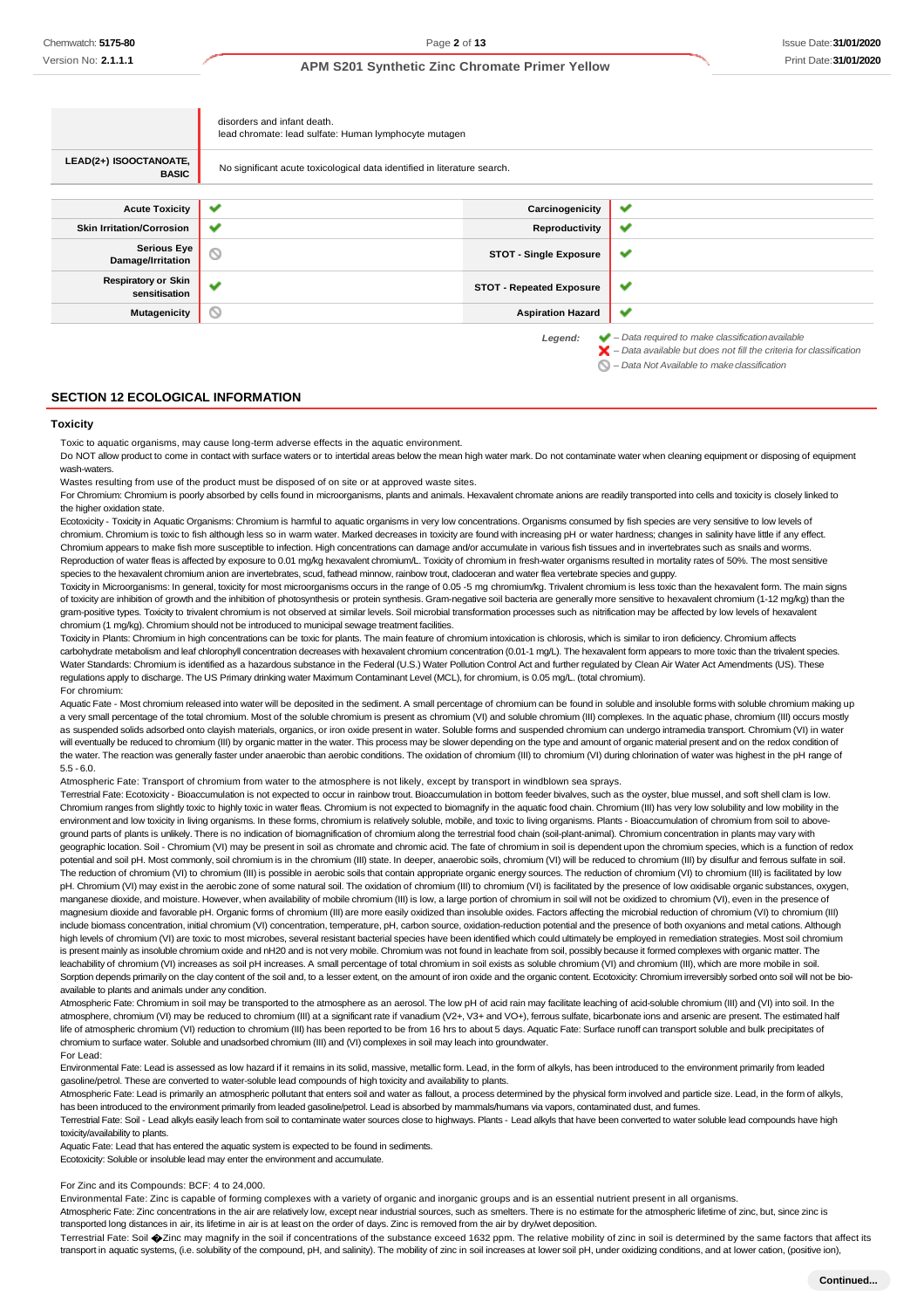|                                             | disorders and infant death.<br>lead chromate: lead sulfate: Human lymphocyte mutagen |                                 |                                                                                                                                                                    |
|---------------------------------------------|--------------------------------------------------------------------------------------|---------------------------------|--------------------------------------------------------------------------------------------------------------------------------------------------------------------|
| LEAD(2+) ISOOCTANOATE,<br><b>BASIC</b>      | No significant acute toxicological data identified in literature search.             |                                 |                                                                                                                                                                    |
|                                             |                                                                                      |                                 |                                                                                                                                                                    |
| <b>Acute Toxicity</b>                       | ✔                                                                                    | Carcinogenicity                 | ✔                                                                                                                                                                  |
| <b>Skin Irritation/Corrosion</b>            | ✔                                                                                    | Reproductivity                  | ✔                                                                                                                                                                  |
| <b>Serious Eye</b><br>Damage/Irritation     | O                                                                                    | <b>STOT - Single Exposure</b>   | v                                                                                                                                                                  |
| <b>Respiratory or Skin</b><br>sensitisation |                                                                                      | <b>STOT - Repeated Exposure</b> | ✔                                                                                                                                                                  |
| <b>Mutagenicity</b>                         | d                                                                                    | <b>Aspiration Hazard</b>        | ✔                                                                                                                                                                  |
|                                             |                                                                                      | Legend:                         | $\blacktriangleright$ - Data required to make classification available<br>$\blacktriangleright$ - Data available but does not fill the criteria for classification |

*– Data Not Available to makeclassification*

#### **SECTION 12 ECOLOGICAL INFORMATION**

#### **Toxicity**

Toxic to aquatic organisms, may cause long-term adverse effects in the aquatic environment.

Do NOT allow product to come in contact with surface waters or to intertidal areas below the mean high water mark. Do not contaminate water when cleaning equipment or disposing of equipment wash-waters.

Wastes resulting from use of the product must be disposed of on site or at approved waste sites.

For Chromium: Chromium is poorly absorbed by cells found in microorganisms, plants and animals. Hexavalent chromate anions are readily transported into cells and toxicity is closely linked to the higher oxidation state.

Ecotoxicity - Toxicity in Aquatic Organisms: Chromium is harmful to aquatic organisms in very low concentrations. Organisms consumed by fish species are very sensitive to low levels of chromium. Chromium is toxic to fish although less so in warm water. Marked decreases in toxicity are found with increasing pH or water hardness; changes in salinity have little if any effect. Chromium appears to make fish more susceptible to infection. High concentrations can damage and/or accumulate in various fish tissues and in invertebrates such as snails and worms. Reproduction of water fleas is affected by exposure to 0.01 mg/kg hexavalent chromium/L. Toxicity of chromium in fresh-water organisms resulted in mortality rates of 50%. The most sensitive species to the hexavalent chromium anion are invertebrates, scud, fathead minnow, rainbow trout, cladoceran and water flea vertebrate species and guppy.

Toxicity in Microorganisms: In general, toxicity for most microorganisms occurs in the range of 0.05 -5 mg chromium/kg. Trivalent chromium is less toxic than the hexavalent form. The main signs of toxicity are inhibition of growth and the inhibition of photosynthesis or protein synthesis. Gram-negative soil bacteria are generally more sensitive to hexavalent chromium (1-12 mg/kg) than the gram-positive types. Toxicity to trivalent chromium is not observed at similar levels. Soil microbial transformation processes such as nitrification may be affected by low levels of hexavalent chromium (1 mg/kg). Chromium should not be introduced to municipal sewage treatment facilities.

Toxicity in Plants: Chromium in high concentrations can be toxic for plants. The main feature of chromium intoxication is chlorosis, which is similar to iron deficiency. Chromium affects carbohydrate metabolism and leaf chlorophyll concentration decreases with hexavalent chromium concentration (0.01-1 mg/L). The hexavalent form appears to more toxic than the trivalent species. Water Standards: Chromium is identified as a hazardous substance in the Federal (U.S.) Water Pollution Control Act and further regulated by Clean Air Water Act Amendments (US). These regulations apply to discharge. The US Primary drinking water Maximum Contaminant Level (MCL), for chromium, is 0.05 mg/L. (total chromium). For chromium:

Aquatic Fate - Most chromium released into water will be deposited in the sediment. A small percentage of chromium can be found in soluble and insoluble forms with soluble chromium making up a very small percentage of the total chromium. Most of the soluble chromium is present as chromium (VI) and soluble chromium (III) complexes. In the aquatic phase, chromium (III) occurs mostly as suspended solids adsorbed onto clayish materials, organics, or iron oxide present in water. Soluble forms and suspended chromium can undergo intramedia transport. Chromium (VI) in water will eventually be reduced to chromium (III) by organic matter in the water. This process may be slower depending on the type and amount of organic material present and on the redox condition of the water. The reaction was generally faster under anaerobic than aerobic conditions. The oxidation of chromium (III) to chromium (VI) during chlorination of water was highest in the pH range of 5.5 - 6.0.

Atmospheric Fate: Transport of chromium from water to the atmosphere is not likely, except by transport in windblown sea sprays.

Terrestrial Fate: Ecotoxicity - Bioaccumulation is not expected to occur in rainbow trout. Bioaccumulation in bottom feeder bivalves, such as the oyster, blue mussel, and soft shell clam is low. Chromium ranges from slightly toxic to highly toxic in water fleas. Chromium is not expected to biomagnify in the aquatic food chain. Chromium (III) has very low solubility and low mobility in the environment and low toxicity in living organisms. In these forms, chromium is relatively soluble, mobile, and toxic to living organisms. Plants - Bioaccumulation of chromium from soil to above ground parts of plants is unlikely. There is no indication of biomagnification of chromium along the terrestrial food chain (soil-plant-animal). Chromium concentration in plants may vary with geographic location. Soil - Chromium (VI) may be present in soil as chromate and chromic acid. The fate of chromium in soil is dependent upon the chromium species, which is a function of re potential and soil pH. Most commonly, soil chromium is in the chromium (III) state. In deeper, anaerobic soils, chromium (VI) will be reduced to chromium (III) by disulfur and ferrous sulfate in soil. The reduction of chromium (VI) to chromium (III) is possible in aerobic soils that contain appropriate organic energy sources. The reduction of chromium (VI) to chromium (III) is facilitated by low pH. Chromium (VI) may exist in the aerobic zone of some natural soil. The oxidation of chromium (III) to chromium (VI) is facilitated by the presence of low oxidisable organic substances, oxygen, manganese dioxide, and moisture. However, when availability of mobile chromium (III) is low, a large portion of chromium in soil will not be oxidized to chromium (VI), even in the presence of magnesium dioxide and favorable pH. Organic forms of chromium (III) are more easily oxidized than insoluble oxides. Factors affecting the microbial reduction of chromium (VI) to chromium (III) include biomass concentration, initial chromium (VI) concentration, temperature, pH, carbon source, oxidation-reduction potential and the presence of both oxyanions and metal cations. Although high levels of chromium (VI) are toxic to most microbes, several resistant bacterial species have been identified which could ultimately be employed in remediation strategies. Most soil chromium is present mainly as insoluble chromium oxide and nH20 and is not very mobile. Chromium was not found in leachate from soil, possibly because it formed complexes with organic matter. The leachability of chromium (VI) increases as soil pH increases. A small percentage of total chromium in soil exists as soluble chromium (VI) and chromium (III), which are more mobile in soil. Sorption depends primarily on the clay content of the soil and, to a lesser extent, on the amount of iron oxide and the organic content. Ecotoxicity: Chromium irreversibly sorbed onto soil will not be bioavailable to plants and animals under any condition.

Atmospheric Fate: Chromium in soil may be transported to the atmosphere as an aerosol. The low pH of acid rain may facilitate leaching of acid-soluble chromium (III) and (VI) into soil. In the atmosphere, chromium (VI) may be reduced to chromium (III) at a significant rate if vanadium (V2+, V3+ and VO+), ferrous sulfate, bicarbonate ions and arsenic are present. The estimated half life of atmospheric chromium (VI) reduction to chromium (III) has been reported to be from 16 hrs to about 5 days. Aquatic Fate: Surface runoff can transport soluble and bulk precipitates of chromium to surface water. Soluble and unadsorbed chromium (III) and (VI) complexes in soil may leach into groundwater.

For Lead:

Environmental Fate: Lead is assessed as low hazard if it remains in its solid, massive, metallic form. Lead, in the form of alkyls, has been introduced to the environment primarily from leaded gasoline/petrol. These are converted to water-soluble lead compounds of high toxicity and availability to plants.

Atmospheric Fate: Lead is primarily an atmospheric pollutant that enters soil and water as fallout, a process determined by the physical form involved and particle size. Lead, in the form of alkyls, has been introduced to the environment primarily from leaded gasoline/petrol. Lead is absorbed by mammals/humans via vapors, contaminated dust, and fumes

Terrestrial Fate: Soil - Lead alkyls easily leach from soil to contaminate water sources close to highways. Plants - Lead alkyls that have been converted to water soluble lead compounds have high toxicity/availability to plants.

Aquatic Fate: Lead that has entered the aquatic system is expected to be found in sediments.

Ecotoxicity: Soluble or insoluble lead may enter the environment and accumulate.

### For Zinc and its Compounds: BCF: 4 to 24,000.

Environmental Fate: Zinc is capable of forming complexes with a variety of organic and inorganic groups and is an essential nutrient present in all organisms.

Atmospheric Fate: Zinc concentrations in the air are relatively low, except near industrial sources, such as smelters. There is no estimate for the atmospheric lifetime of zinc, but, since zinc is transported long distances in air, its lifetime in air is at least on the order of days. Zinc is removed from the air by dry/wet deposition.

Terrestrial Fate: Soil  $\bigcirc$ Zinc may magnify in the soil if concentrations of the substance exceed 1632 ppm. The relative mobility of zinc in soil is determined by the same factors that affect its transport in aquatic systems, (i.e. solubility of the compound, pH, and salinity). The mobility of zinc in soil increases at lower soil pH, under oxidizing conditions, and at lower cation, (positive ion),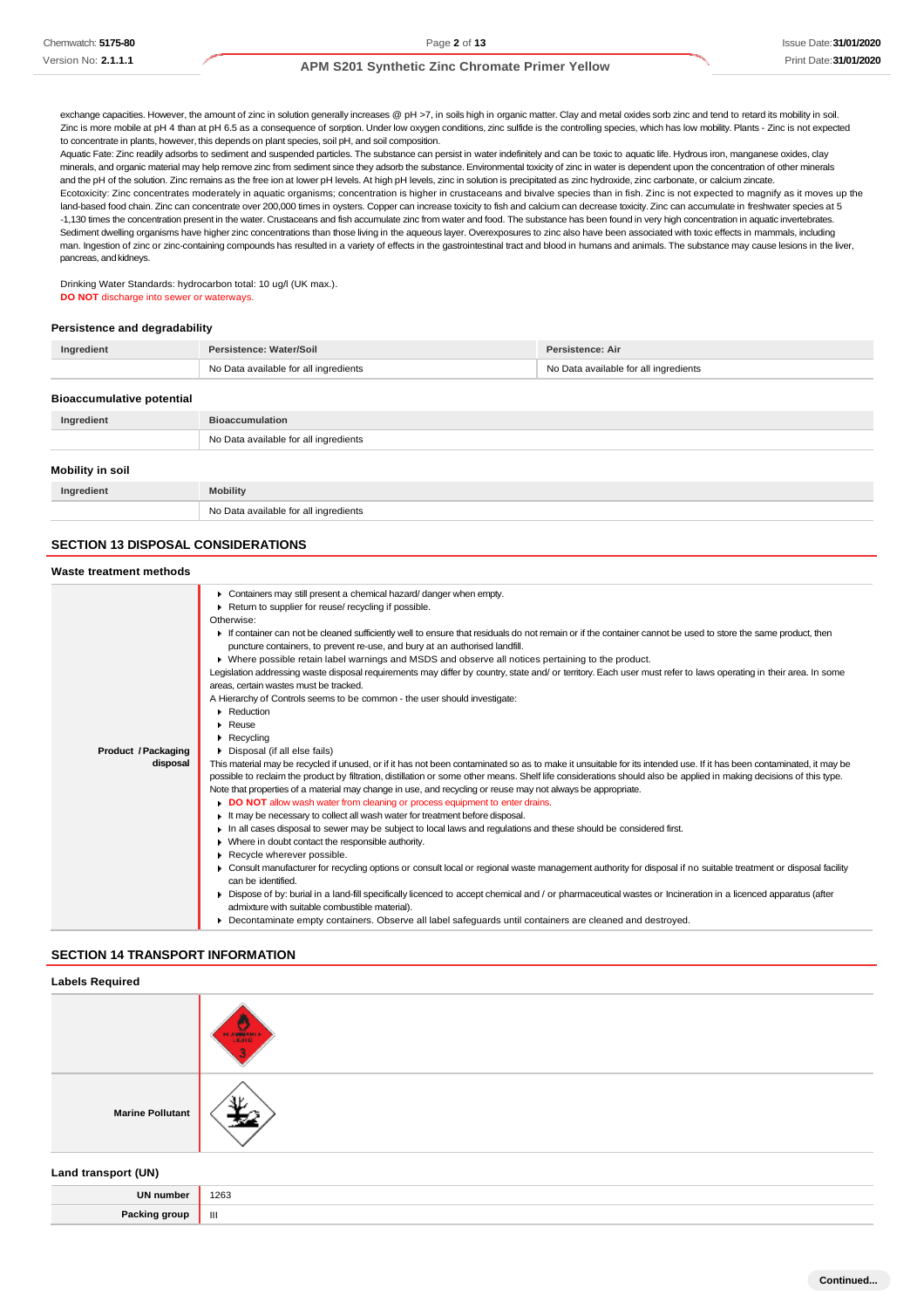exchange capacities. However, the amount of zinc in solution generally increases @ pH >7, in soils high in organic matter. Clay and metal oxides sorb zinc and tend to retard its mobility in soil. Zinc is more mobile at pH 4 than at pH 6.5 as a consequence of sorption. Under low oxygen conditions, zinc sulfide is the controlling species, which has low mobility. Plants - Zinc is not expected to concentrate in plants, however, this depends on plant species, soil pH, and soil composition.

Aquatic Fate: Zinc readily adsorbs to sediment and suspended particles. The substance can persist in water indefinitely and can be toxic to aquatic life. Hydrous iron, manganese oxides, clay minerals, and organic material may help remove zinc from sediment since they adsorb the substance. Environmental toxicity of zinc in water is dependent upon the concentration of other minerals and the pH of the solution. Zinc remains as the free ion at lower pH levels. At high pH levels, zinc in solution is precipitated as zinc hydroxide, zinc carbonate, or calcium zincate

Ecotoxicity: Zinc concentrates moderately in aquatic organisms; concentration is higher in crustaceans and bivalve species than in fish. Zinc is not expected to magnify as it moves up the land-based food chain. Zinc can concentrate over 200,000 times in oysters. Copper can increase toxicity to fish and calcium can decrease toxicity. Zinc can accumulate in freshwater species at 5 -1,130 times the concentration present in the water. Crustaceans and fish accumulate zinc from water and food. The substance has been found in very high concentration in aquatic invertebrates. Sediment dwelling organisms have higher zinc concentrations than those living in the aqueous layer. Overexposures to zinc also have been associated with toxic effects in mammals, including man. Ingestion of zinc or zinc-containing compounds has resulted in a variety of effects in the gastrointestinal tract and blood in humans and animals. The substance may cause lesions in the liver, pancreas, and kidneys.

Drinking Water Standards: hydrocarbon total: 10 ug/l (UK max.). **DO NOT** discharge into sewer or waterways.

#### **Persistence and degradability**

| Ingredient | Persistence: Water/Soil               | Persistence: Air                      |
|------------|---------------------------------------|---------------------------------------|
|            | No Data available for all ingredients | No Data available for all ingredients |
|            |                                       |                                       |

#### **Bioaccumulative potential**

| Ingredient       | <b>Bioaccumulation</b>                |  |
|------------------|---------------------------------------|--|
|                  | No Data available for all ingredients |  |
| Mobility in soil |                                       |  |
| Ingredient       | <b>Mobility</b>                       |  |
|                  | No Data available for all ingredients |  |

# **SECTION 13 DISPOSAL CONSIDERATIONS**

#### **Waste treatment methods Product /Packaging disposal** Containers may still present a chemical hazard/ danger when empty. ▶ Return to supplier for reuse/ recycling if possible. Otherwise: If container can not be cleaned sufficiently well to ensure that residuals do not remain or if the container cannot be used to store the same product, then puncture containers, to prevent re-use, and bury at an authorised landfill. Where possible retain label warnings and MSDS and observe all notices pertaining to the product. Legislation addressing waste disposal requirements may differ by country, state and/ or territory. Each user must refer to laws operating in their area. In some areas, certain wastes must be tracked. A Hierarchy of Controls seems to be common - the user should investigate: **Reduction** Reuse Recycling Disposal (if all else fails) This material may be recycled if unused, or if it has not been contaminated so as to make it unsuitable for its intended use. If it has been contaminated, it may be possible to reclaim the product by filtration, distillation or some other means. Shelf life considerations should also be applied in making decisions of this type. Note that properties of a material may change in use, and recycling or reuse may not always be appropriate. **DO NOT** allow wash water from cleaning or process equipment to enter drains. It may be necessary to collect all wash water for treatment before disposal. In all cases disposal to sewer may be subject to local laws and regulations and these should be considered first. Where in doubt contact the responsible authority. Recycle wherever possible. Consult manufacturer for recycling options or consult local or regional waste management authority for disposal if no suitable treatment or disposal facility can be identified. Dispose of by: burial in a land-fill specifically licenced to accept chemical and / or pharmaceutical wastes or Incineration in a licenced apparatus (after admixture with suitable combustible material). Decontaminate empty containers. Observe all label safeguards until containers are cleaned and destroyed.

#### **SECTION 14 TRANSPORT INFORMATION**

| <b>Labels Required</b>  |                  |
|-------------------------|------------------|
|                         | $\frac{1}{1000}$ |
| <b>Marine Pollutant</b> | ۱v               |
| Land transport (UN)     |                  |

**UN number** 1263 **Packing group** ||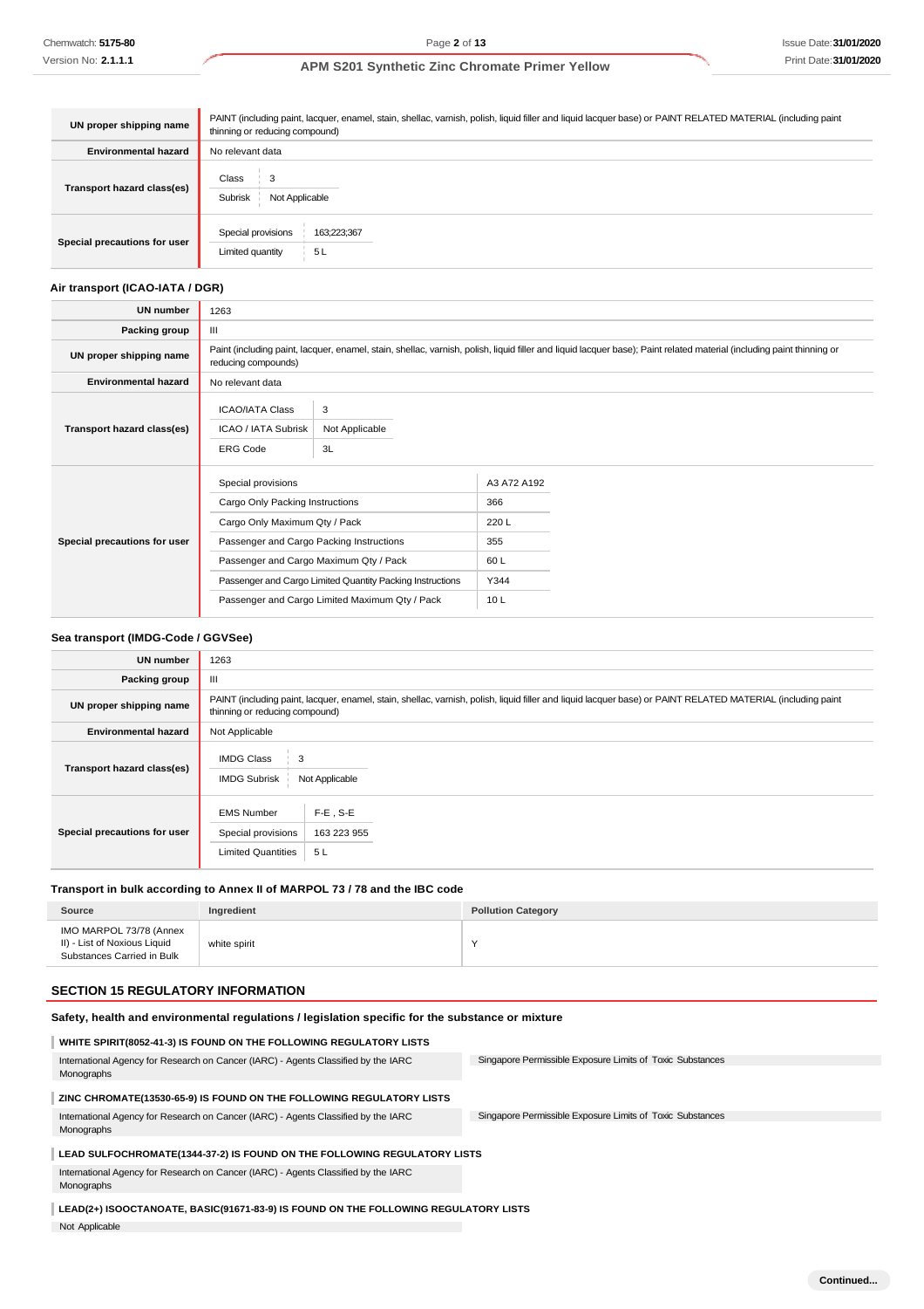| UN proper shipping name      | PAINT (including paint, lacquer, enamel, stain, shellac, varnish, polish, liquid filler and liquid lacquer base) or PAINT RELATED MATERIAL (including paint<br>thinning or reducing compound) |  |  |
|------------------------------|-----------------------------------------------------------------------------------------------------------------------------------------------------------------------------------------------|--|--|
| <b>Environmental hazard</b>  | No relevant data                                                                                                                                                                              |  |  |
| Transport hazard class(es)   | Class<br>Subrisk<br>Not Applicable                                                                                                                                                            |  |  |
| Special precautions for user | Special provisions<br>163;223;367<br>5 L<br>Limited quantity                                                                                                                                  |  |  |

## **Air transport (ICAO-IATA / DGR)**

| <b>UN number</b>             | 1263                                                                                                                                                                                         |                                                           |             |  |
|------------------------------|----------------------------------------------------------------------------------------------------------------------------------------------------------------------------------------------|-----------------------------------------------------------|-------------|--|
| Packing group                | Ш                                                                                                                                                                                            |                                                           |             |  |
| UN proper shipping name      | Paint (including paint, lacquer, enamel, stain, shellac, varnish, polish, liquid filler and liquid lacquer base); Paint related material (including paint thinning or<br>reducing compounds) |                                                           |             |  |
| <b>Environmental hazard</b>  | No relevant data                                                                                                                                                                             |                                                           |             |  |
| Transport hazard class(es)   | 3<br><b>ICAO/IATA Class</b><br>ICAO / IATA Subrisk<br>Not Applicable<br>3L<br><b>ERG Code</b>                                                                                                |                                                           |             |  |
|                              | Special provisions                                                                                                                                                                           |                                                           | A3 A72 A192 |  |
|                              | Cargo Only Packing Instructions                                                                                                                                                              |                                                           | 366         |  |
|                              | Cargo Only Maximum Qty / Pack                                                                                                                                                                |                                                           | 220L        |  |
| Special precautions for user | Passenger and Cargo Packing Instructions                                                                                                                                                     |                                                           | 355         |  |
|                              |                                                                                                                                                                                              | Passenger and Cargo Maximum Qty / Pack                    | 60L         |  |
|                              |                                                                                                                                                                                              | Passenger and Cargo Limited Quantity Packing Instructions | Y344        |  |
|                              |                                                                                                                                                                                              | Passenger and Cargo Limited Maximum Qty / Pack            | 10L         |  |

# **Sea transport (IMDG-Code / GGVSee)**

| <b>UN number</b>             | 1263                                                                                                                                                                                          |  |
|------------------------------|-----------------------------------------------------------------------------------------------------------------------------------------------------------------------------------------------|--|
| Packing group                | Ш                                                                                                                                                                                             |  |
| UN proper shipping name      | PAINT (including paint, lacquer, enamel, stain, shellac, varnish, polish, liquid filler and liquid lacquer base) or PAINT RELATED MATERIAL (including paint<br>thinning or reducing compound) |  |
| <b>Environmental hazard</b>  | Not Applicable                                                                                                                                                                                |  |
| Transport hazard class(es)   | <b>IMDG Class</b><br>3<br><b>IMDG Subrisk</b><br>Not Applicable                                                                                                                               |  |
| Special precautions for user | $F-E$ , S-E<br><b>EMS Number</b><br>Special provisions<br>163 223 955<br><b>Limited Quantities</b><br>5L                                                                                      |  |

## **Transport in bulk according to Annex II of MARPOL 73 / 78 and the IBC code**

| Source                                                                                | Ingredient   | <b>Pollution Category</b> |
|---------------------------------------------------------------------------------------|--------------|---------------------------|
| IMO MARPOL 73/78 (Annex<br>II) - List of Noxious Liquid<br>Substances Carried in Bulk | white spirit | $\checkmark$              |

### **SECTION 15 REGULATORY INFORMATION**

Not Applicable

| Safety, health and environmental regulations / legislation specific for the substance or mixture |                                                           |  |
|--------------------------------------------------------------------------------------------------|-----------------------------------------------------------|--|
| WHITE SPIRIT(8052-41-3) IS FOUND ON THE FOLLOWING REGULATORY LISTS                               |                                                           |  |
| International Agency for Research on Cancer (IARC) - Agents Classified by the IARC<br>Monographs | Singapore Permissible Exposure Limits of Toxic Substances |  |
| ZINC CHROMATE(13530-65-9) IS FOUND ON THE FOLLOWING REGULATORY LISTS                             |                                                           |  |
| International Agency for Research on Cancer (IARC) - Agents Classified by the IARC<br>Monographs | Singapore Permissible Exposure Limits of Toxic Substances |  |
| LEAD SULFOCHROMATE(1344-37-2) IS FOUND ON THE FOLLOWING REGULATORY LISTS                         |                                                           |  |
| International Agency for Research on Cancer (IARC) - Agents Classified by the IARC<br>Monographs |                                                           |  |
| LEAD(2+) ISOOCTANOATE, BASIC(91671-83-9) IS FOUND ON THE FOLLOWING REGULATORY LISTS              |                                                           |  |